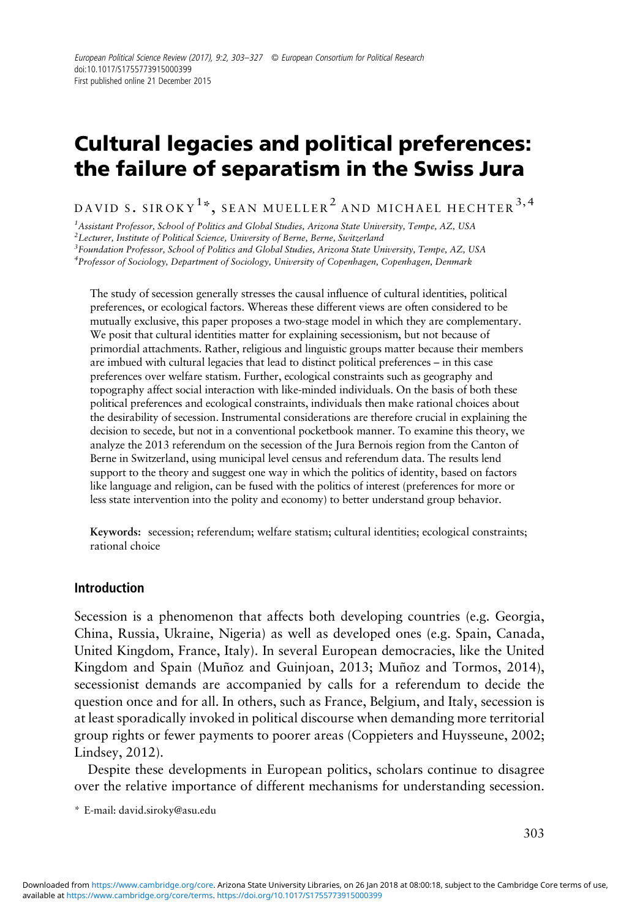# Cultural legacies and political preferences: the failure of separatism in the Swiss Jura

DAVID S. SIROKY $^{1\ast},$  SEAN MUELLER $^{2}$  and michael hechter  $^{3,4}$ 

 $^1$ Assistant Professor, School of Politics and Global Studies, Arizona State University, Tempe, AZ, USA

 $^2$ Lecturer, Institute of Political Science, University of Berne, Berne, Switzerland

 ${}^{3}$ Foundation Professor, School of Politics and Global Studies, Arizona State University, Tempe, AZ, USA

<sup>4</sup>Professor of Sociology, Department of Sociology, University of Copenhagen, Copenhagen, Denmark

The study of secession generally stresses the causal influence of cultural identities, political preferences, or ecological factors. Whereas these different views are often considered to be mutually exclusive, this paper proposes a two-stage model in which they are complementary. We posit that cultural identities matter for explaining secessionism, but not because of primordial attachments. Rather, religious and linguistic groups matter because their members are imbued with cultural legacies that lead to distinct political preferences – in this case preferences over welfare statism. Further, ecological constraints such as geography and topography affect social interaction with like-minded individuals. On the basis of both these political preferences and ecological constraints, individuals then make rational choices about the desirability of secession. Instrumental considerations are therefore crucial in explaining the decision to secede, but not in a conventional pocketbook manner. To examine this theory, we analyze the 2013 referendum on the secession of the Jura Bernois region from the Canton of Berne in Switzerland, using municipal level census and referendum data. The results lend support to the theory and suggest one way in which the politics of identity, based on factors like language and religion, can be fused with the politics of interest (preferences for more or less state intervention into the polity and economy) to better understand group behavior.

Keywords: secession; referendum; welfare statism; cultural identities; ecological constraints; rational choice

#### Introduction

Secession is a phenomenon that affects both developing countries (e.g. Georgia, China, Russia, Ukraine, Nigeria) as well as developed ones (e.g. Spain, Canada, United Kingdom, France, Italy). In several European democracies, like the United Kingdom and Spain (Muñoz and Guinjoan, [2013](#page-20-0); Muñoz and Tormos, [2014\)](#page-20-0), secessionist demands are accompanied by calls for a referendum to decide the question once and for all. In others, such as France, Belgium, and Italy, secession is at least sporadically invoked in political discourse when demanding more territorial group rights or fewer payments to poorer areas (Coppieters and Huysseune, [2002](#page-19-0); Lindsey, [2012\)](#page-20-0).

Despite these developments in European politics, scholars continue to disagree over the relative importance of different mechanisms for understanding secession.

\* E-mail: [david.siroky@asu.edu](mailto:david.siroky@asu.edu)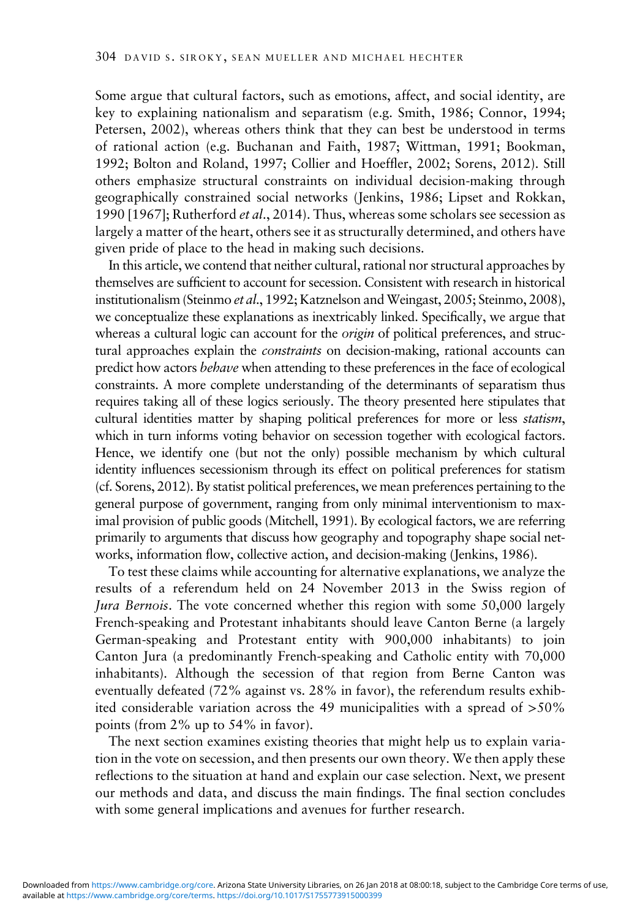Some argue that cultural factors, such as emotions, affect, and social identity, are key to explaining nationalism and separatism (e.g. Smith, [1986](#page-21-0); Connor, [1994](#page-19-0); Petersen, [2002\)](#page-21-0), whereas others think that they can best be understood in terms of rational action (e.g. Buchanan and Faith, [1987;](#page-19-0) Wittman, [1991](#page-22-0); Bookman, [1992](#page-19-0); Bolton and Roland, [1997;](#page-19-0) Collier and Hoeffler, [2002](#page-19-0); Sorens, [2012](#page-21-0)). Still others emphasize structural constraints on individual decision-making through geographically constrained social networks (Jenkins, [1986;](#page-20-0) Lipset and Rokkan, 1990 [[1967](#page-20-0)]; Rutherford *et al.*, [2014](#page-21-0)). Thus, whereas some scholars see secession as largely a matter of the heart, others see it as structurally determined, and others have given pride of place to the head in making such decisions.

In this article, we contend that neither cultural, rational nor structural approaches by themselves are sufficient to account for secession. Consistent with research in historical institutionalism (Steinmo et al., [1992;](#page-21-0) Katznelson and Weingast, [2005](#page-20-0); Steinmo, [2008\)](#page-21-0), we conceptualize these explanations as inextricably linked. Specifically, we argue that whereas a cultural logic can account for the *origin* of political preferences, and structural approaches explain the *constraints* on decision-making, rational accounts can predict how actors behave when attending to these preferences in the face of ecological constraints. A more complete understanding of the determinants of separatism thus requires taking all of these logics seriously. The theory presented here stipulates that cultural identities matter by shaping political preferences for more or less statism, which in turn informs voting behavior on secession together with ecological factors. Hence, we identify one (but not the only) possible mechanism by which cultural identity influences secessionism through its effect on political preferences for statism (cf. Sorens, [2012\)](#page-21-0). By statist political preferences, we mean preferences pertaining to the general purpose of government, ranging from only minimal interventionism to maximal provision of public goods (Mitchell, [1991\)](#page-20-0). By ecological factors, we are referring primarily to arguments that discuss how geography and topography shape social networks, information flow, collective action, and decision-making (Jenkins, [1986\)](#page-20-0).

To test these claims while accounting for alternative explanations, we analyze the results of a referendum held on 24 November 2013 in the Swiss region of Jura Bernois. The vote concerned whether this region with some 50,000 largely French-speaking and Protestant inhabitants should leave Canton Berne (a largely German-speaking and Protestant entity with 900,000 inhabitants) to join Canton Jura (a predominantly French-speaking and Catholic entity with 70,000 inhabitants). Although the secession of that region from Berne Canton was eventually defeated (72% against vs. 28% in favor), the referendum results exhibited considerable variation across the 49 municipalities with a spread of >50% points (from 2% up to 54% in favor).

The next section examines existing theories that might help us to explain variation in the vote on secession, and then presents our own theory. We then apply these reflections to the situation at hand and explain our case selection. Next, we present our methods and data, and discuss the main findings. The final section concludes with some general implications and avenues for further research.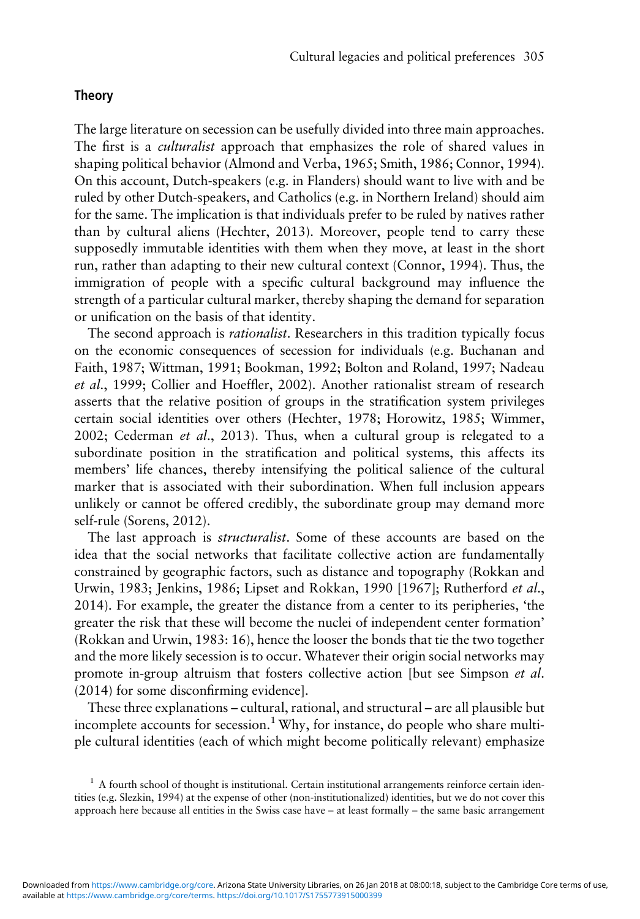# Theory

The large literature on secession can be usefully divided into three main approaches. The first is a *culturalist* approach that emphasizes the role of shared values in shaping political behavior (Almond and Verba, [1965;](#page-18-0) Smith, [1986](#page-21-0); Connor, [1994\)](#page-19-0). On this account, Dutch-speakers (e.g. in Flanders) should want to live with and be ruled by other Dutch-speakers, and Catholics (e.g. in Northern Ireland) should aim for the same. The implication is that individuals prefer to be ruled by natives rather than by cultural aliens (Hechter, [2013\)](#page-20-0). Moreover, people tend to carry these supposedly immutable identities with them when they move, at least in the short run, rather than adapting to their new cultural context (Connor, [1994\)](#page-19-0). Thus, the immigration of people with a specific cultural background may influence the strength of a particular cultural marker, thereby shaping the demand for separation or unification on the basis of that identity.

The second approach is *rationalist*. Researchers in this tradition typically focus on the economic consequences of secession for individuals (e.g. Buchanan and Faith, [1987;](#page-19-0) Wittman, [1991](#page-22-0); Bookman, [1992;](#page-19-0) Bolton and Roland, [1997;](#page-19-0) Nadeau et al., [1999](#page-20-0); Collier and Hoeffler, [2002\)](#page-19-0). Another rationalist stream of research asserts that the relative position of groups in the stratification system privileges certain social identities over others (Hechter, [1978](#page-20-0); Horowitz, [1985;](#page-20-0) Wimmer, [2002](#page-22-0); Cederman et al., [2013\)](#page-19-0). Thus, when a cultural group is relegated to a subordinate position in the stratification and political systems, this affects its members' life chances, thereby intensifying the political salience of the cultural marker that is associated with their subordination. When full inclusion appears unlikely or cannot be offered credibly, the subordinate group may demand more self-rule (Sorens, [2012](#page-21-0)).

The last approach is structuralist. Some of these accounts are based on the idea that the social networks that facilitate collective action are fundamentally constrained by geographic factors, such as distance and topography (Rokkan and Urwin, [1983](#page-21-0); Jenkins, [1986;](#page-20-0) Lipset and Rokkan, 1990 [\[1967\]](#page-20-0); Rutherford et al., [2014](#page-21-0)). For example, the greater the distance from a center to its peripheries, 'the greater the risk that these will become the nuclei of independent center formation' (Rokkan and Urwin, [1983](#page-21-0): 16), hence the looser the bonds that tie the two together and the more likely secession is to occur. Whatever their origin social networks may promote in-group altruism that fosters collective action [but see Simpson et al. ([2014\)](#page-21-0) for some disconfirming evidence].

These three explanations – cultural, rational, and structural – are all plausible but incomplete accounts for secession.<sup>1</sup>Why, for instance, do people who share multiple cultural identities (each of which might become politically relevant) emphasize

 $1$  A fourth school of thought is institutional. Certain institutional arrangements reinforce certain identities (e.g. Slezkin, 1994) at the expense of other (non-institutionalized) identities, but we do not cover this approach here because all entities in the Swiss case have – at least formally – the same basic arrangement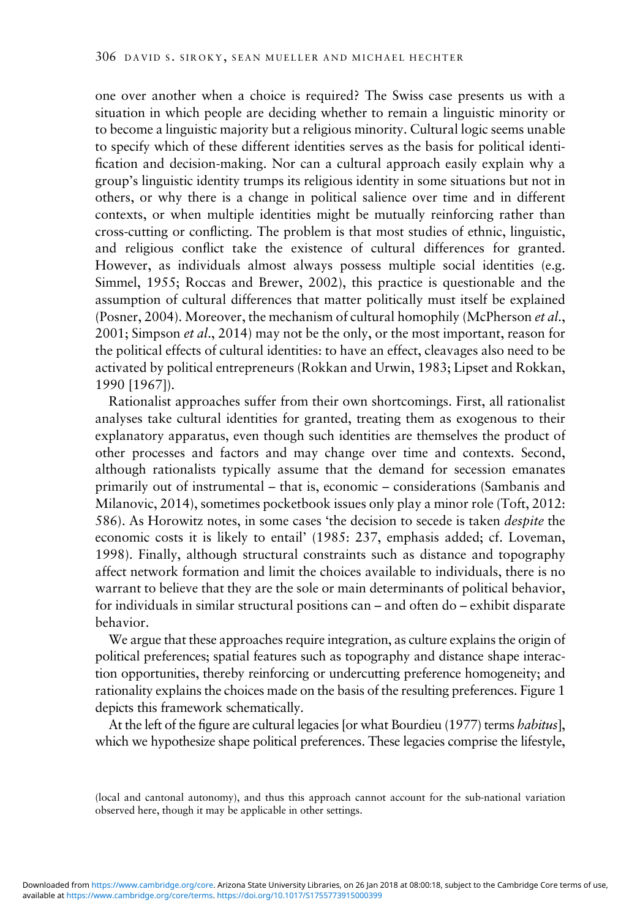one over another when a choice is required? The Swiss case presents us with a situation in which people are deciding whether to remain a linguistic minority or to become a linguistic majority but a religious minority. Cultural logic seems unable to specify which of these different identities serves as the basis for political identification and decision-making. Nor can a cultural approach easily explain why a group's linguistic identity trumps its religious identity in some situations but not in others, or why there is a change in political salience over time and in different contexts, or when multiple identities might be mutually reinforcing rather than cross-cutting or conflicting. The problem is that most studies of ethnic, linguistic, and religious conflict take the existence of cultural differences for granted. However, as individuals almost always possess multiple social identities (e.g. Simmel, [1955](#page-21-0); Roccas and Brewer, [2002\)](#page-21-0), this practice is questionable and the assumption of cultural differences that matter politically must itself be explained (Posner, [2004\)](#page-21-0). Moreover, the mechanism of cultural homophily (McPherson et al., [2001](#page-20-0); Simpson *et al.*, [2014\)](#page-21-0) may not be the only, or the most important, reason for the political effects of cultural identities: to have an effect, cleavages also need to be activated by political entrepreneurs (Rokkan and Urwin, [1983;](#page-21-0) Lipset and Rokkan, 1990 [\[1967\]](#page-20-0)).

Rationalist approaches suffer from their own shortcomings. First, all rationalist analyses take cultural identities for granted, treating them as exogenous to their explanatory apparatus, even though such identities are themselves the product of other processes and factors and may change over time and contexts. Second, although rationalists typically assume that the demand for secession emanates primarily out of instrumental – that is, economic – considerations (Sambanis and Milanovic, 2014), sometimes pocketbook issues only play a minor role (Toft, [2012](#page-22-0): 586). As Horowitz notes, in some cases 'the decision to secede is taken despite the economic costs it is likely to entail' [\(1985:](#page-20-0) 237, emphasis added; cf. Loveman, [1998](#page-20-0)). Finally, although structural constraints such as distance and topography affect network formation and limit the choices available to individuals, there is no warrant to believe that they are the sole or main determinants of political behavior, for individuals in similar structural positions can – and often do – exhibit disparate behavior.

We argue that these approaches require integration, as culture explains the origin of political preferences; spatial features such as topography and distance shape interaction opportunities, thereby reinforcing or undercutting preference homogeneity; and rationality explains the choices made on the basis of the resulting preferences. [Figure 1](#page-4-0) depicts this framework schematically.

At the left of the figure are cultural legacies [or what Bourdieu [\(1977\)](#page-19-0) terms habitus], which we hypothesize shape political preferences. These legacies comprise the lifestyle,

<sup>(</sup>local and cantonal autonomy), and thus this approach cannot account for the sub-national variation observed here, though it may be applicable in other settings.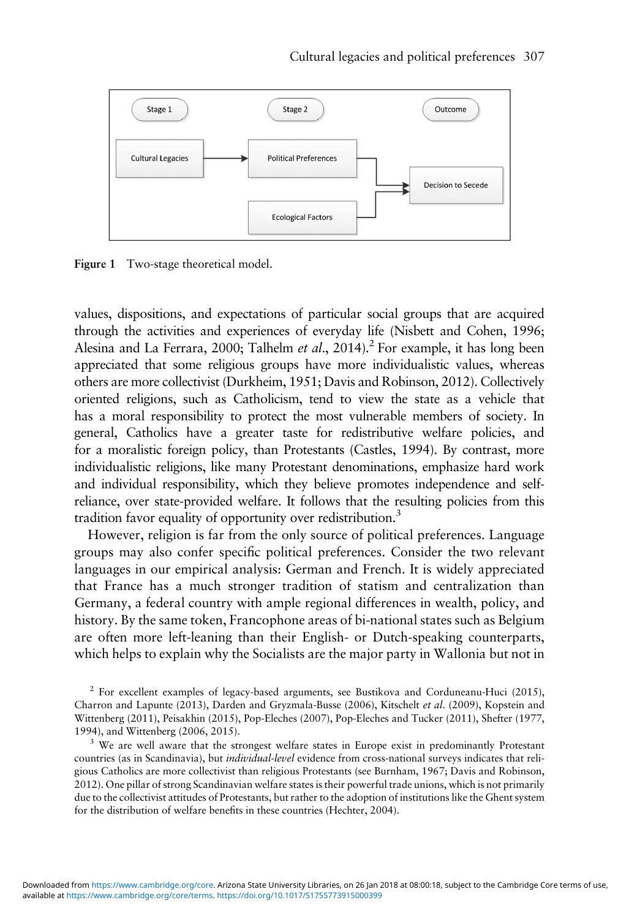<span id="page-4-0"></span>

Figure 1 Two-stage theoretical model.

values, dispositions, and expectations of particular social groups that are acquired through the activities and experiences of everyday life (Nisbett and Cohen, [1996](#page-20-0); Alesina and La Ferrara, [2000;](#page-18-0) Talhelm et al., [2014\)](#page-22-0).<sup>2</sup> For example, it has long been appreciated that some religious groups have more individualistic values, whereas others are more collectivist (Durkheim, [1951](#page-19-0); Davis and Robinson, [2012](#page-19-0)). Collectively oriented religions, such as Catholicism, tend to view the state as a vehicle that has a moral responsibility to protect the most vulnerable members of society. In general, Catholics have a greater taste for redistributive welfare policies, and for a moralistic foreign policy, than Protestants (Castles, [1994\)](#page-19-0). By contrast, more individualistic religions, like many Protestant denominations, emphasize hard work and individual responsibility, which they believe promotes independence and selfreliance, over state-provided welfare. It follows that the resulting policies from this tradition favor equality of opportunity over redistribution.<sup>3</sup>

However, religion is far from the only source of political preferences. Language groups may also confer specific political preferences. Consider the two relevant languages in our empirical analysis: German and French. It is widely appreciated that France has a much stronger tradition of statism and centralization than Germany, a federal country with ample regional differences in wealth, policy, and history. By the same token, Francophone areas of bi-national states such as Belgium are often more left-leaning than their English- or Dutch-speaking counterparts, which helps to explain why the Socialists are the major party in Wallonia but not in

<sup>2</sup> For excellent examples of legacy-based arguments, see Bustikova and Corduneanu-Huci ([2015](#page-19-0)), Charron and Lapunte ([2013](#page-19-0)), Darden and Gryzmala-Busse [\(2006\)](#page-19-0), Kitschelt et al. ([2009](#page-20-0)), Kopstein and Wittenberg ([2011](#page-20-0)), Peisakhin [\(2015\)](#page-21-0), Pop-Eleches [\(2007\)](#page-21-0), Pop-Eleches and Tucker [\(2011](#page-21-0)), Shefter [\(1977,](#page-21-0) [1994](#page-21-0)), and Wittenberg ([2006](#page-22-0), [2015](#page-22-0)).

<sup>3</sup> We are well aware that the strongest welfare states in Europe exist in predominantly Protestant countries (as in Scandinavia), but *individual-level* evidence from cross-national surveys indicates that religious Catholics are more collectivist than religious Protestants (see Burnham, [1967;](#page-19-0) Davis and Robinson, [2012](#page-19-0)). One pillar of strong Scandinavian welfare states is their powerful trade unions, which is not primarily due to the collectivist attitudes of Protestants, but rather to the adoption of institutions like the Ghent system for the distribution of welfare benefits in these countries (Hechter, [2004\)](#page-20-0).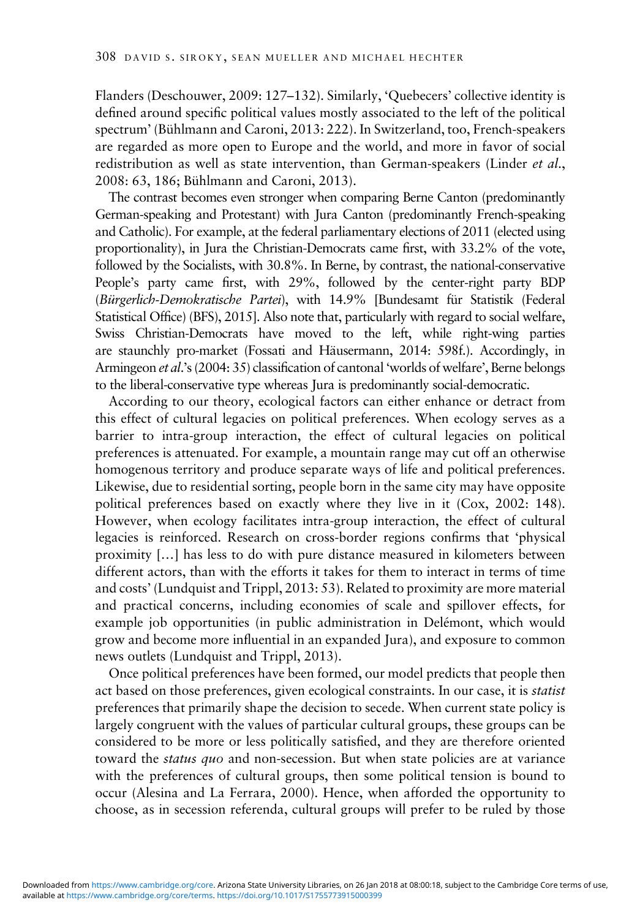Flanders (Deschouwer, [2009:](#page-19-0) 127–132). Similarly, 'Quebecers' collective identity is defined around specific political values mostly associated to the left of the political spectrum' (Bühlmann and Caroni, 2013: 222). In Switzerland, too, French-speakers are regarded as more open to Europe and the world, and more in favor of social redistribution as well as state intervention, than German-speakers (Linder et al., [2008](#page-20-0): 63, 186; Bühlmann and Caroni, [2013\)](#page-19-0).

The contrast becomes even stronger when comparing Berne Canton (predominantly German-speaking and Protestant) with Jura Canton (predominantly French-speaking and Catholic). For example, at the federal parliamentary elections of 2011 (elected using proportionality), in Jura the Christian-Democrats came first, with 33.2% of the vote, followed by the Socialists, with 30.8%. In Berne, by contrast, the national-conservative People's party came first, with 29%, followed by the center-right party BDP (Bürgerlich-Demokratische Partei), with 14.9% [Bundesamt für Statistik (Federal Statistical Office) (BFS), [2015](#page-19-0)]. Also note that, particularly with regard to social welfare, Swiss Christian-Democrats have moved to the left, while right-wing parties are staunchly pro-market (Fossati and Häusermann, [2014:](#page-19-0) 598f.). Accordingly, in Armingeon et al.'s [\(2004:](#page-19-0) 35) classification of cantonal 'worlds of welfare', Berne belongs to the liberal-conservative type whereas Jura is predominantly social-democratic.

According to our theory, ecological factors can either enhance or detract from this effect of cultural legacies on political preferences. When ecology serves as a barrier to intra-group interaction, the effect of cultural legacies on political preferences is attenuated. For example, a mountain range may cut off an otherwise homogenous territory and produce separate ways of life and political preferences. Likewise, due to residential sorting, people born in the same city may have opposite political preferences based on exactly where they live in it (Cox, [2002](#page-19-0): 148). However, when ecology facilitates intra-group interaction, the effect of cultural legacies is reinforced. Research on cross-border regions confirms that 'physical proximity […] has less to do with pure distance measured in kilometers between different actors, than with the efforts it takes for them to interact in terms of time and costs' (Lundquist and Trippl, [2013:](#page-20-0) 53). Related to proximity are more material and practical concerns, including economies of scale and spillover effects, for example job opportunities (in public administration in Delémont, which would grow and become more influential in an expanded Jura), and exposure to common news outlets (Lundquist and Trippl, [2013](#page-20-0)).

Once political preferences have been formed, our model predicts that people then act based on those preferences, given ecological constraints. In our case, it is statist preferences that primarily shape the decision to secede. When current state policy is largely congruent with the values of particular cultural groups, these groups can be considered to be more or less politically satisfied, and they are therefore oriented toward the *status quo* and non-secession. But when state policies are at variance with the preferences of cultural groups, then some political tension is bound to occur (Alesina and La Ferrara, [2000](#page-18-0)). Hence, when afforded the opportunity to choose, as in secession referenda, cultural groups will prefer to be ruled by those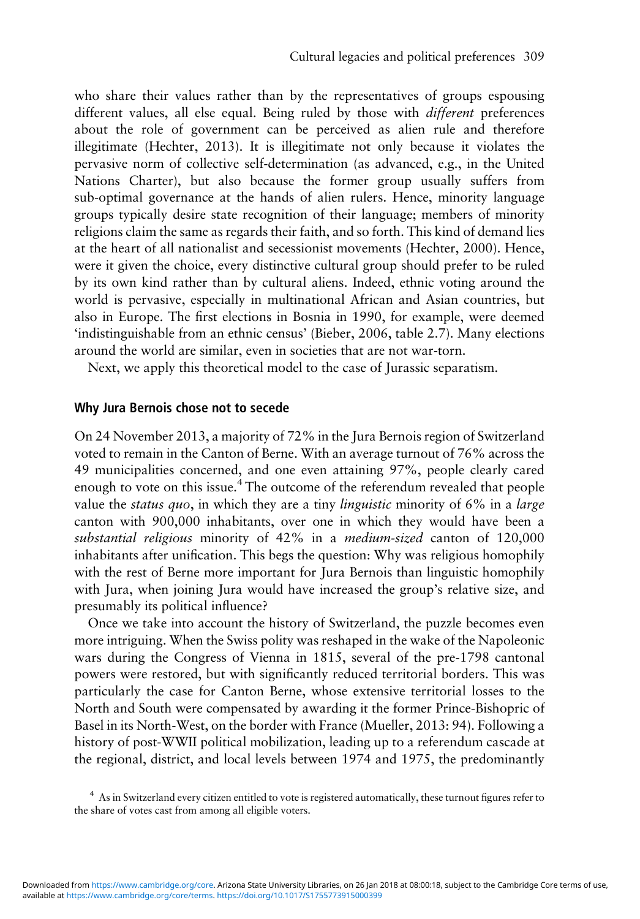who share their values rather than by the representatives of groups espousing different values, all else equal. Being ruled by those with *different* preferences about the role of government can be perceived as alien rule and therefore illegitimate (Hechter, [2013\)](#page-20-0). It is illegitimate not only because it violates the pervasive norm of collective self-determination (as advanced, e.g., in the United Nations Charter), but also because the former group usually suffers from sub-optimal governance at the hands of alien rulers. Hence, minority language groups typically desire state recognition of their language; members of minority religions claim the same as regards their faith, and so forth. This kind of demand lies at the heart of all nationalist and secessionist movements (Hechter, 2000). Hence, were it given the choice, every distinctive cultural group should prefer to be ruled by its own kind rather than by cultural aliens. Indeed, ethnic voting around the world is pervasive, especially in multinational African and Asian countries, but also in Europe. The first elections in Bosnia in 1990, for example, were deemed 'indistinguishable from an ethnic census' (Bieber, [2006,](#page-19-0) table 2.7). Many elections around the world are similar, even in societies that are not war-torn.

Next, we apply this theoretical model to the case of Jurassic separatism.

# Why Jura Bernois chose not to secede

On 24 November 2013, a majority of 72% in the Jura Bernois region of Switzerland voted to remain in the Canton of Berne. With an average turnout of 76% across the 49 municipalities concerned, and one even attaining 97%, people clearly cared enough to vote on this issue.<sup>4</sup> The outcome of the referendum revealed that people value the *status quo*, in which they are a tiny *linguistic* minority of 6% in a *large* canton with 900,000 inhabitants, over one in which they would have been a substantial religious minority of 42% in a medium-sized canton of 120,000 inhabitants after unification. This begs the question: Why was religious homophily with the rest of Berne more important for Jura Bernois than linguistic homophily with Jura, when joining Jura would have increased the group's relative size, and presumably its political influence?

Once we take into account the history of Switzerland, the puzzle becomes even more intriguing. When the Swiss polity was reshaped in the wake of the Napoleonic wars during the Congress of Vienna in 1815, several of the pre-1798 cantonal powers were restored, but with significantly reduced territorial borders. This was particularly the case for Canton Berne, whose extensive territorial losses to the North and South were compensated by awarding it the former Prince-Bishopric of Basel in its North-West, on the border with France (Mueller, [2013:](#page-20-0) 94). Following a history of post-WWII political mobilization, leading up to a referendum cascade at the regional, district, and local levels between 1974 and 1975, the predominantly

<sup>4</sup> As in Switzerland every citizen entitled to vote is registered automatically, these turnout figures refer to the share of votes cast from among all eligible voters.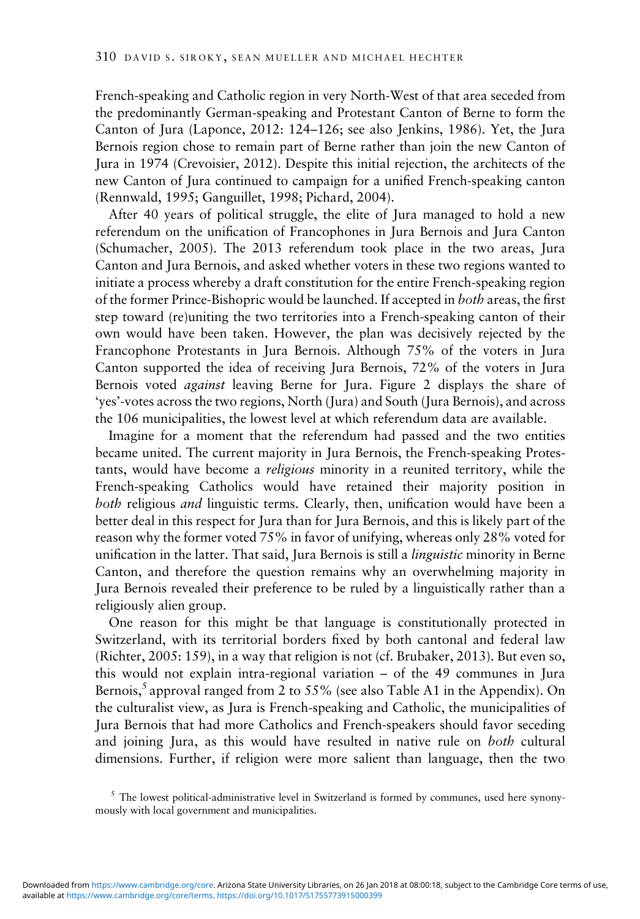French-speaking and Catholic region in very North-West of that area seceded from the predominantly German-speaking and Protestant Canton of Berne to form the Canton of Jura (Laponce, [2012](#page-20-0): 124–126; see also Jenkins, [1986\)](#page-20-0). Yet, the Jura Bernois region chose to remain part of Berne rather than join the new Canton of Jura in 1974 (Crevoisier, [2012](#page-19-0)). Despite this initial rejection, the architects of the new Canton of Jura continued to campaign for a unified French-speaking canton (Rennwald, [1995;](#page-21-0) Ganguillet, [1998;](#page-19-0) Pichard, [2004\)](#page-21-0).

After 40 years of political struggle, the elite of Jura managed to hold a new referendum on the unification of Francophones in Jura Bernois and Jura Canton (Schumacher, [2005](#page-21-0)). The 2013 referendum took place in the two areas, Jura Canton and Jura Bernois, and asked whether voters in these two regions wanted to initiate a process whereby a draft constitution for the entire French-speaking region of the former Prince-Bishopric would be launched. If accepted in both areas, the first step toward (re)uniting the two territories into a French-speaking canton of their own would have been taken. However, the plan was decisively rejected by the Francophone Protestants in Jura Bernois. Although 75% of the voters in Jura Canton supported the idea of receiving Jura Bernois, 72% of the voters in Jura Bernois voted *against* leaving Berne for Jura. [Figure 2](#page-8-0) displays the share of 'yes'-votes across the two regions, North (Jura) and South (Jura Bernois), and across the 106 municipalities, the lowest level at which referendum data are available.

Imagine for a moment that the referendum had passed and the two entities became united. The current majority in Jura Bernois, the French-speaking Protestants, would have become a religious minority in a reunited territory, while the French-speaking Catholics would have retained their majority position in both religious and linguistic terms. Clearly, then, unification would have been a better deal in this respect for Jura than for Jura Bernois, and this is likely part of the reason why the former voted 75% in favor of unifying, whereas only 28% voted for unification in the latter. That said, Jura Bernois is still a *linguistic* minority in Berne Canton, and therefore the question remains why an overwhelming majority in Jura Bernois revealed their preference to be ruled by a linguistically rather than a religiously alien group.

One reason for this might be that language is constitutionally protected in Switzerland, with its territorial borders fixed by both cantonal and federal law (Richter, [2005:](#page-21-0) 159), in a way that religion is not (cf. Brubaker, [2013\)](#page-19-0). But even so, this would not explain intra-regional variation – of the 49 communes in Jura Bernois,<sup>5</sup> approval ranged from 2 to 55% (see also [Table A1](#page-23-0) in the Appendix). On the culturalist view, as Jura is French-speaking and Catholic, the municipalities of Jura Bernois that had more Catholics and French-speakers should favor seceding and joining Jura, as this would have resulted in native rule on both cultural dimensions. Further, if religion were more salient than language, then the two

 $<sup>5</sup>$  The lowest political-administrative level in Switzerland is formed by communes, used here synony-</sup> mously with local government and municipalities.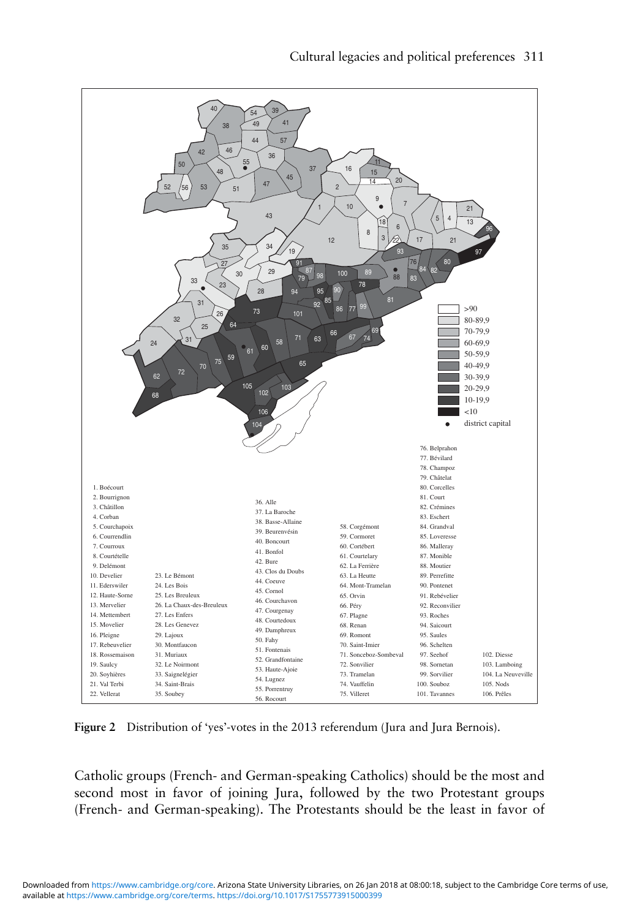<span id="page-8-0"></span>

Figure 2 Distribution of 'yes'-votes in the 2013 referendum (Jura and Jura Bernois).

Catholic groups (French- and German-speaking Catholics) should be the most and second most in favor of joining Jura, followed by the two Protestant groups (French- and German-speaking). The Protestants should be the least in favor of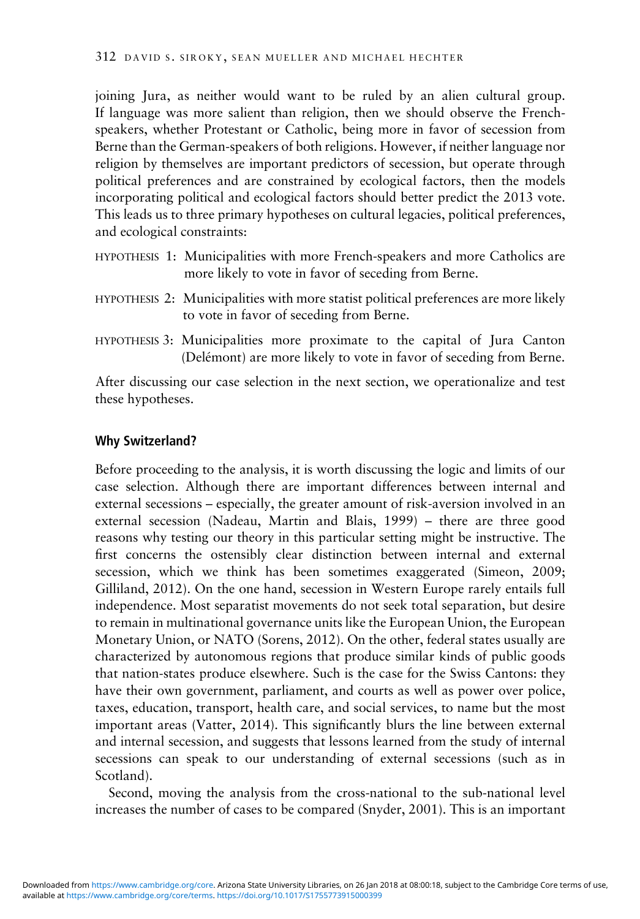joining Jura, as neither would want to be ruled by an alien cultural group. If language was more salient than religion, then we should observe the Frenchspeakers, whether Protestant or Catholic, being more in favor of secession from Berne than the German-speakers of both religions. However, if neither language nor religion by themselves are important predictors of secession, but operate through political preferences and are constrained by ecological factors, then the models incorporating political and ecological factors should better predict the 2013 vote. This leads us to three primary hypotheses on cultural legacies, political preferences, and ecological constraints:

- HYPOTHESIS 1: Municipalities with more French-speakers and more Catholics are more likely to vote in favor of seceding from Berne.
- HYPOTHESIS 2: Municipalities with more statist political preferences are more likely to vote in favor of seceding from Berne.
- HYPOTHESIS 3: Municipalities more proximate to the capital of Jura Canton (Delémont) are more likely to vote in favor of seceding from Berne.

After discussing our case selection in the next section, we operationalize and test these hypotheses.

# Why Switzerland?

Before proceeding to the analysis, it is worth discussing the logic and limits of our case selection. Although there are important differences between internal and external secessions – especially, the greater amount of risk-aversion involved in an external secession (Nadeau, Martin and Blais, 1999) – there are three good reasons why testing our theory in this particular setting might be instructive. The first concerns the ostensibly clear distinction between internal and external secession, which we think has been sometimes exaggerated (Simeon, 2009; Gilliland, [2012](#page-20-0)). On the one hand, secession in Western Europe rarely entails full independence. Most separatist movements do not seek total separation, but desire to remain in multinational governance units like the European Union, the European Monetary Union, or NATO (Sorens, [2012](#page-21-0)). On the other, federal states usually are characterized by autonomous regions that produce similar kinds of public goods that nation-states produce elsewhere. Such is the case for the Swiss Cantons: they have their own government, parliament, and courts as well as power over police, taxes, education, transport, health care, and social services, to name but the most important areas (Vatter, [2014\)](#page-22-0). This significantly blurs the line between external and internal secession, and suggests that lessons learned from the study of internal secessions can speak to our understanding of external secessions (such as in Scotland).

Second, moving the analysis from the cross-national to the sub-national level increases the number of cases to be compared (Snyder, [2001\)](#page-21-0). This is an important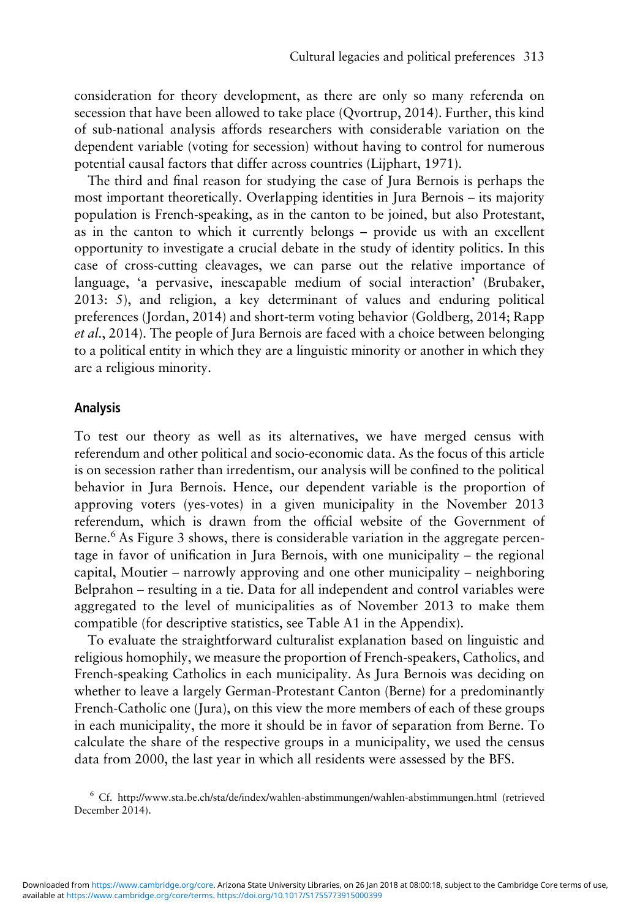consideration for theory development, as there are only so many referenda on secession that have been allowed to take place (Qvortrup, [2014\)](#page-21-0). Further, this kind of sub-national analysis affords researchers with considerable variation on the dependent variable (voting for secession) without having to control for numerous potential causal factors that differ across countries (Lijphart, [1971\)](#page-20-0).

The third and final reason for studying the case of Jura Bernois is perhaps the most important theoretically. Overlapping identities in Jura Bernois – its majority population is French-speaking, as in the canton to be joined, but also Protestant, as in the canton to which it currently belongs – provide us with an excellent opportunity to investigate a crucial debate in the study of identity politics. In this case of cross-cutting cleavages, we can parse out the relative importance of language, 'a pervasive, inescapable medium of social interaction' (Brubaker, [2013](#page-19-0): 5), and religion, a key determinant of values and enduring political preferences (Jordan, [2014](#page-20-0)) and short-term voting behavior (Goldberg, [2014;](#page-20-0) Rapp et al., [2014\)](#page-21-0). The people of Jura Bernois are faced with a choice between belonging to a political entity in which they are a linguistic minority or another in which they are a religious minority.

# Analysis

To test our theory as well as its alternatives, we have merged census with referendum and other political and socio-economic data. As the focus of this article is on secession rather than irredentism, our analysis will be confined to the political behavior in Jura Bernois. Hence, our dependent variable is the proportion of approving voters (yes-votes) in a given municipality in the November 2013 referendum, which is drawn from the official website of the Government of Berne.<sup>6</sup> As [Figure 3](#page-11-0) shows, there is considerable variation in the aggregate percentage in favor of unification in Jura Bernois, with one municipality – the regional capital, Moutier – narrowly approving and one other municipality – neighboring Belprahon – resulting in a tie. Data for all independent and control variables were aggregated to the level of municipalities as of November 2013 to make them compatible (for descriptive statistics, see [Table A1](#page-23-0) in the Appendix).

To evaluate the straightforward culturalist explanation based on linguistic and religious homophily, we measure the proportion of French-speakers, Catholics, and French-speaking Catholics in each municipality. As Jura Bernois was deciding on whether to leave a largely German-Protestant Canton (Berne) for a predominantly French-Catholic one (Jura), on this view the more members of each of these groups in each municipality, the more it should be in favor of separation from Berne. To calculate the share of the respective groups in a municipality, we used the census data from 2000, the last year in which all residents were assessed by the BFS.

<sup>6</sup> Cf.<http://www.sta.be.ch/sta/de/index/wahlen-abstimmungen/wahlen-abstimmungen.html> (retrieved December 2014).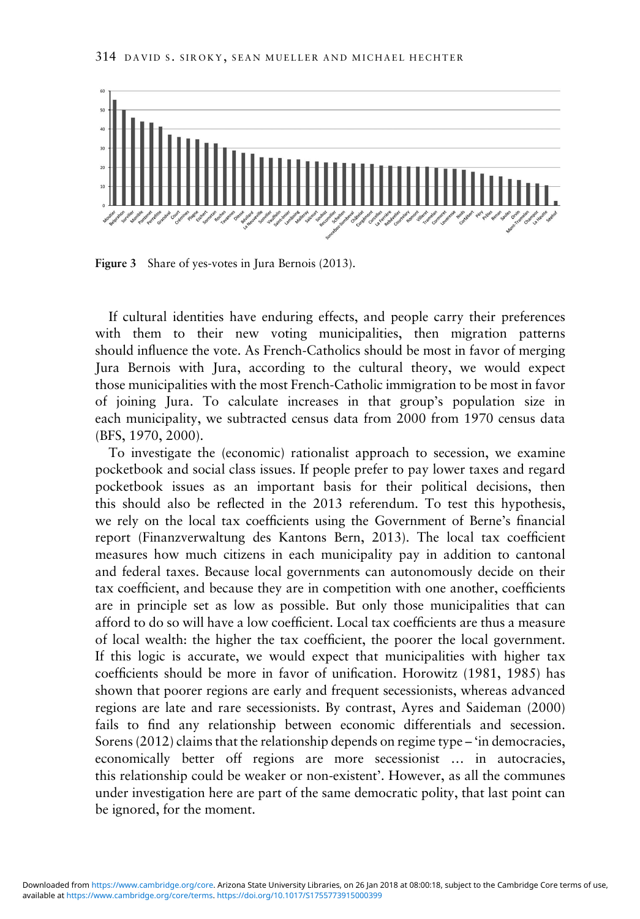<span id="page-11-0"></span>

Figure 3 Share of yes-votes in Jura Bernois (2013).

If cultural identities have enduring effects, and people carry their preferences with them to their new voting municipalities, then migration patterns should influence the vote. As French-Catholics should be most in favor of merging Jura Bernois with Jura, according to the cultural theory, we would expect those municipalities with the most French-Catholic immigration to be most in favor of joining Jura. To calculate increases in that group's population size in each municipality, we subtracted census data from 2000 from 1970 census data (BFS, [1970, 2000](#page-19-0)).

To investigate the (economic) rationalist approach to secession, we examine pocketbook and social class issues. If people prefer to pay lower taxes and regard pocketbook issues as an important basis for their political decisions, then this should also be reflected in the 2013 referendum. To test this hypothesis, we rely on the local tax coefficients using the Government of Berne's financial report (Finanzverwaltung des Kantons Bern, [2013](#page-19-0)). The local tax coefficient measures how much citizens in each municipality pay in addition to cantonal and federal taxes. Because local governments can autonomously decide on their tax coefficient, and because they are in competition with one another, coefficients are in principle set as low as possible. But only those municipalities that can afford to do so will have a low coefficient. Local tax coefficients are thus a measure of local wealth: the higher the tax coefficient, the poorer the local government. If this logic is accurate, we would expect that municipalities with higher tax coefficients should be more in favor of unification. Horowitz [\(1981, 1985\)](#page-20-0) has shown that poorer regions are early and frequent secessionists, whereas advanced regions are late and rare secessionists. By contrast, Ayres and Saideman ([2000\)](#page-19-0) fails to find any relationship between economic differentials and secession. Sorens (2012) claims that the relationship depends on regime type – 'in democracies, economically better off regions are more secessionist … in autocracies, this relationship could be weaker or non-existent'. However, as all the communes under investigation here are part of the same democratic polity, that last point can be ignored, for the moment.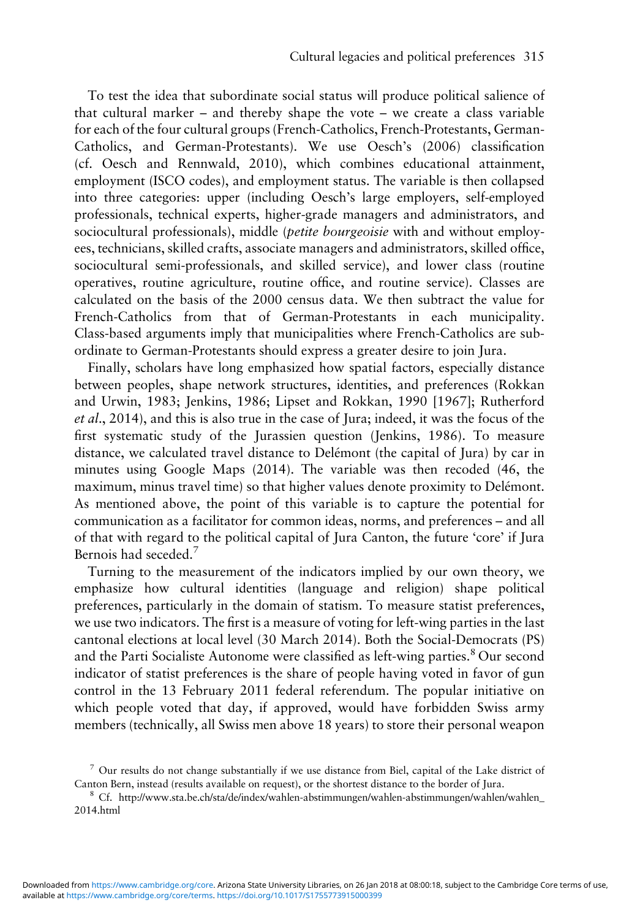To test the idea that subordinate social status will produce political salience of that cultural marker – and thereby shape the vote – we create a class variable for each of the four cultural groups (French-Catholics, French-Protestants, German-Catholics, and German-Protestants). We use Oesch's [\(2006\)](#page-20-0) classification (cf. Oesch and Rennwald, [2010](#page-20-0)), which combines educational attainment, employment (ISCO codes), and employment status. The variable is then collapsed into three categories: upper (including Oesch's large employers, self-employed professionals, technical experts, higher-grade managers and administrators, and sociocultural professionals), middle (*petite bourgeoisie* with and without employees, technicians, skilled crafts, associate managers and administrators, skilled office, sociocultural semi-professionals, and skilled service), and lower class (routine operatives, routine agriculture, routine office, and routine service). Classes are calculated on the basis of the 2000 census data. We then subtract the value for French-Catholics from that of German-Protestants in each municipality. Class-based arguments imply that municipalities where French-Catholics are subordinate to German-Protestants should express a greater desire to join Jura.

Finally, scholars have long emphasized how spatial factors, especially distance between peoples, shape network structures, identities, and preferences (Rokkan and Urwin, [1983](#page-21-0); Jenkins, [1986](#page-20-0); Lipset and Rokkan, 1990 [\[1967\]](#page-20-0); Rutherford et al., [2014\)](#page-21-0), and this is also true in the case of Jura; indeed, it was the focus of the first systematic study of the Jurassien question (Jenkins, [1986\)](#page-20-0). To measure distance, we calculated travel distance to Delémont (the capital of Jura) by car in minutes using Google Maps [\(2014](#page-20-0)). The variable was then recoded (46, the maximum, minus travel time) so that higher values denote proximity to Delémont. As mentioned above, the point of this variable is to capture the potential for communication as a facilitator for common ideas, norms, and preferences – and all of that with regard to the political capital of Jura Canton, the future 'core' if Jura Bernois had seceded.<sup>7</sup>

Turning to the measurement of the indicators implied by our own theory, we emphasize how cultural identities (language and religion) shape political preferences, particularly in the domain of statism. To measure statist preferences, we use two indicators. The first is a measure of voting for left-wing parties in the last cantonal elections at local level (30 March 2014). Both the Social-Democrats (PS) and the Parti Socialiste Autonome were classified as left-wing parties.<sup>8</sup> Our second indicator of statist preferences is the share of people having voted in favor of gun control in the 13 February 2011 federal referendum. The popular initiative on which people voted that day, if approved, would have forbidden Swiss army members (technically, all Swiss men above 18 years) to store their personal weapon

 $7$  Our results do not change substantially if we use distance from Biel, capital of the Lake district of Canton Bern, instead (results available on request), or the shortest distance to the border of Jura.

<sup>8</sup> Cf. [http://www.sta.be.ch/sta/de/index/wahlen-abstimmungen/wahlen-abstimmungen/wahlen/wahlen\\_](http://www.sta.be.ch/sta/de/index/wahlen-abstimmungen/wahlen-abstimmungen/wahlen/wahlen_2014.html) [2014.html](http://www.sta.be.ch/sta/de/index/wahlen-abstimmungen/wahlen-abstimmungen/wahlen/wahlen_2014.html)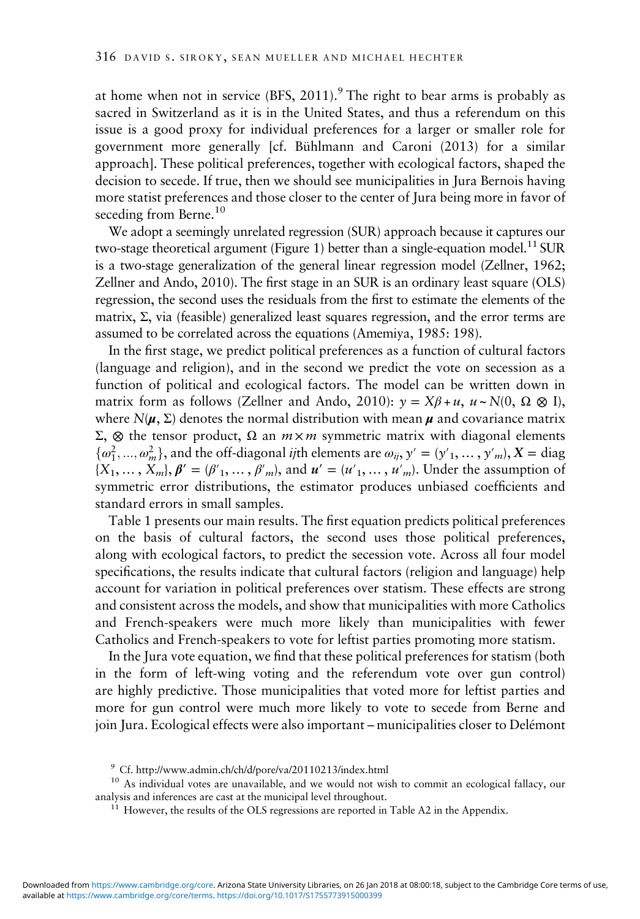at home when not in service  $(BFS, 2011)$  $(BFS, 2011)$  $(BFS, 2011)$ .<sup>9</sup> The right to bear arms is probably as sacred in Switzerland as it is in the United States, and thus a referendum on this issue is a good proxy for individual preferences for a larger or smaller role for government more generally [cf. Bühlmann and Caroni ([2013](#page-19-0)) for a similar approach]. These political preferences, together with ecological factors, shaped the decision to secede. If true, then we should see municipalities in Jura Bernois having more statist preferences and those closer to the center of Jura being more in favor of seceding from Berne.<sup>10</sup>

We adopt a seemingly unrelated regression (SUR) approach because it captures our two-stage theoretical argument [\(Figure 1\)](#page-4-0) better than a single-equation model.<sup>11</sup> SUR is a two-stage generalization of the general linear regression model (Zellner, [1962](#page-22-0); Zellner and Ando, [2010](#page-22-0)). The first stage in an SUR is an ordinary least square (OLS) regression, the second uses the residuals from the first to estimate the elements of the matrix,  $\Sigma$ , via (feasible) generalized least squares regression, and the error terms are assumed to be correlated across the equations (Amemiya, [1985:](#page-19-0) 198).

In the first stage, we predict political preferences as a function of cultural factors (language and religion), and in the second we predict the vote on secession as a function of political and ecological factors. The model can be written down in matrix form as follows (Zellner and Ando, [2010](#page-22-0)):  $\gamma = X\beta + u$ ,  $u \sim N(0, \Omega \otimes I)$ , where  $N(\mu, \Sigma)$  denotes the normal distribution with mean  $\mu$  and covariance matrix Σ, ⊗ the tensor product, Ω an  $m \times m$  symmetric matrix with diagonal elements  $\{\omega_1^2, ..., \omega_m^2\}$ , and the off-diagonal *ij*th elements are  $\omega_{ij}$ ,  $y' = (y'_1, ..., y'_m)$ ,  $X = \text{diag}$ <br> $\{X, ..., Y' \mid B' = (B', ..., B') \}$  and  $y' = (y'_1, ..., y'_m)$ . Under the assumption of  ${X_1, \ldots, X_m, \beta' = (\beta'_1, \ldots, \beta'_m)}$ , and  $u' = (u'_1, \ldots, u'_m)$ . Under the assumption of symmetric error distributions, the estimator produces unbiased coefficients and standard errors in small samples.

[Table 1](#page-14-0) presents our main results. The first equation predicts political preferences on the basis of cultural factors, the second uses those political preferences, along with ecological factors, to predict the secession vote. Across all four model specifications, the results indicate that cultural factors (religion and language) help account for variation in political preferences over statism. These effects are strong and consistent across the models, and show that municipalities with more Catholics and French-speakers were much more likely than municipalities with fewer Catholics and French-speakers to vote for leftist parties promoting more statism.

In the Jura vote equation, we find that these political preferences for statism (both in the form of left-wing voting and the referendum vote over gun control) are highly predictive. Those municipalities that voted more for leftist parties and more for gun control were much more likely to vote to secede from Berne and join Jura. Ecological effects were also important – municipalities closer to Delémont

<sup>9</sup> Cf.<http://www.admin.ch/ch/d/pore/va/20110213/index.html>

<sup>&</sup>lt;sup>10</sup> As individual votes are unavailable, and we would not wish to commit an ecological fallacy, our analysis and inferences are cast at the municipal level throughout.

 $11$  However, the results of the OLS regressions are reported in [Table A2](#page-24-0) in the Appendix.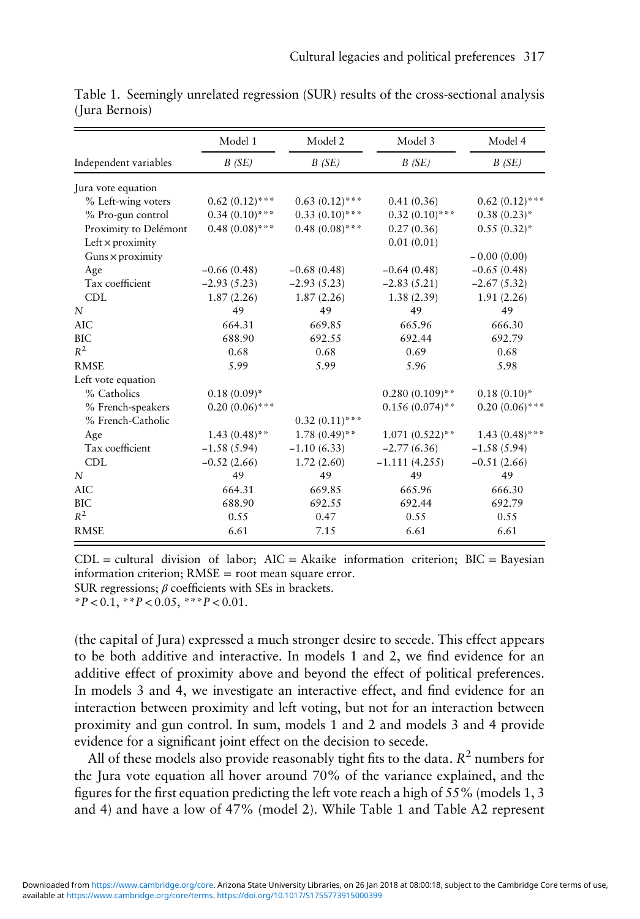|                         | Model 1          | Model 2          | Model 3           | Model 4<br>B(SE) |  |
|-------------------------|------------------|------------------|-------------------|------------------|--|
| Independent variables   | B(SE)            | B(SE)            | B(SE)             |                  |  |
| Jura vote equation      |                  |                  |                   |                  |  |
| % Left-wing voters      | $0.62(0.12)$ *** | $0.63(0.12)$ *** | 0.41(0.36)        | $0.62(0.12)$ *** |  |
| % Pro-gun control       | $0.34(0.10)$ *** | $0.33(0.10)$ *** | $0.32(0.10)$ ***  | $0.38(0.23)$ *   |  |
| Proximity to Delémont   | $0.48(0.08)$ *** | $0.48(0.08)$ *** | 0.27(0.36)        | $0.55(0.32)^{*}$ |  |
| Left $\times$ proximity |                  |                  | 0.01(0.01)        |                  |  |
| Guns $\times$ proximity |                  |                  |                   | $-0.00(0.00)$    |  |
| Age                     | $-0.66(0.48)$    | $-0.68(0.48)$    | $-0.64(0.48)$     | $-0.65(0.48)$    |  |
| Tax coefficient         | $-2.93(5.23)$    | $-2.93(5.23)$    | $-2.83(5.21)$     | $-2.67(5.32)$    |  |
| <b>CDL</b>              | 1.87(2.26)       | 1.87(2.26)       | 1.38(2.39)        | 1.91(2.26)       |  |
| N                       | 49               | 49               | 49                | 49               |  |
| <b>AIC</b>              | 664.31           | 669.85           | 665.96            | 666.30           |  |
| BIC                     | 688.90           | 692.55           | 692.44            | 692.79           |  |
| $R^2$                   | 0.68             | 0.68             | 0.69              | 0.68             |  |
| <b>RMSE</b>             | 5.99             | 5.99             | 5.96              | 5.98             |  |
| Left vote equation      |                  |                  |                   |                  |  |
| % Catholics             | $0.18(0.09)*$    |                  | $0.280(0.109)$ ** | $0.18(0.10)^*$   |  |
| % French-speakers       | $0.20(0.06)$ *** |                  | $0.156(0.074)$ ** | $0.20(0.06)$ *** |  |
| % French-Catholic       |                  | $0.32(0.11)$ *** |                   |                  |  |
| Age                     | $1.43(0.48)$ **  | $1.78(0.49)$ **  | $1.071(0.522)**$  | $1.43(0.48)$ *** |  |
| Tax coefficient         | $-1.58(5.94)$    | $-1.10(6.33)$    | $-2.77(6.36)$     | $-1.58(5.94)$    |  |
| <b>CDL</b>              | $-0.52(2.66)$    | 1.72(2.60)       | $-1.111(4.255)$   | $-0.51(2.66)$    |  |
| N                       | 49               | 49               | 49                | 49               |  |
| <b>AIC</b>              | 664.31           | 669.85           | 665.96            | 666.30           |  |
| <b>BIC</b>              | 688.90           | 692.55           | 692.44            | 692.79           |  |
| $R^2$                   | 0.55             | 0.47             | 0.55              | 0.55             |  |
| <b>RMSE</b>             | 6.61             | 7.15             | 6.61              | 6.61             |  |

<span id="page-14-0"></span>Table 1. Seemingly unrelated regression (SUR) results of the cross-sectional analysis (Jura Bernois)

 $CDL =$  cultural division of labor;  $AIC = Akaike$  information criterion;  $BIC = Bavesian$ information criterion; RMSE = root mean square error. SUR regressions;  $\beta$  coefficients with SEs in brackets.

 $*P < 0.1, *P < 0.05, **P < 0.01.$ 

(the capital of Jura) expressed a much stronger desire to secede. This effect appears to be both additive and interactive. In models 1 and 2, we find evidence for an additive effect of proximity above and beyond the effect of political preferences. In models 3 and 4, we investigate an interactive effect, and find evidence for an interaction between proximity and left voting, but not for an interaction between proximity and gun control. In sum, models 1 and 2 and models 3 and 4 provide evidence for a significant joint effect on the decision to secede.

All of these models also provide reasonably tight fits to the data.  $R^2$  numbers for the Jura vote equation all hover around 70% of the variance explained, and the figures for the first equation predicting the left vote reach a high of  $55\%$  (models 1, 3) and 4) and have a low of 47% (model 2). While Table 1 and [Table A2](#page-24-0) represent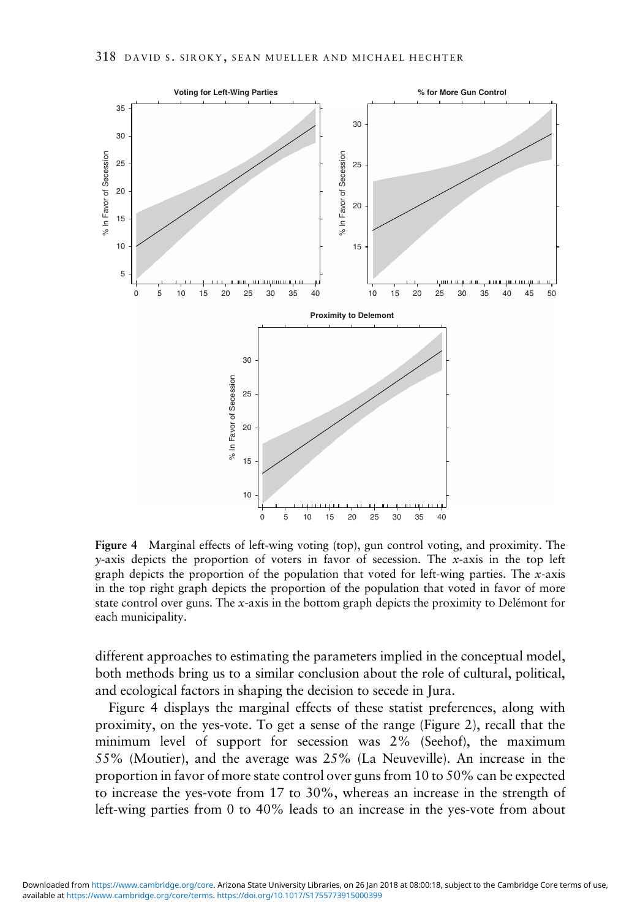

Figure 4 Marginal effects of left-wing voting (top), gun control voting, and proximity. The  $y$ -axis depicts the proportion of voters in favor of secession. The x-axis in the top left graph depicts the proportion of the population that voted for left-wing parties. The  $x$ -axis in the top right graph depicts the proportion of the population that voted in favor of more state control over guns. The x-axis in the bottom graph depicts the proximity to Delémont for each municipality.

different approaches to estimating the parameters implied in the conceptual model, both methods bring us to a similar conclusion about the role of cultural, political, and ecological factors in shaping the decision to secede in Jura.

Figure 4 displays the marginal effects of these statist preferences, along with proximity, on the yes-vote. To get a sense of the range [\(Figure 2\)](#page-8-0), recall that the minimum level of support for secession was 2% (Seehof), the maximum 55% (Moutier), and the average was 25% (La Neuveville). An increase in the proportion in favor of more state control over guns from 10 to 50% can be expected to increase the yes-vote from 17 to 30%, whereas an increase in the strength of left-wing parties from 0 to 40% leads to an increase in the yes-vote from about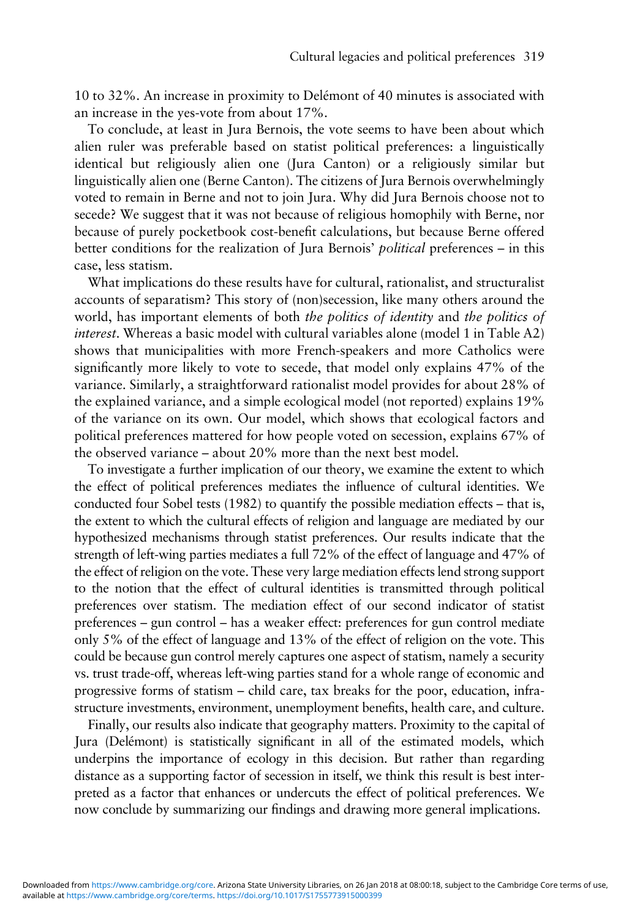10 to 32%. An increase in proximity to Delémont of 40 minutes is associated with an increase in the yes-vote from about 17%.

To conclude, at least in Jura Bernois, the vote seems to have been about which alien ruler was preferable based on statist political preferences: a linguistically identical but religiously alien one (Jura Canton) or a religiously similar but linguistically alien one (Berne Canton). The citizens of Jura Bernois overwhelmingly voted to remain in Berne and not to join Jura. Why did Jura Bernois choose not to secede? We suggest that it was not because of religious homophily with Berne, nor because of purely pocketbook cost-benefit calculations, but because Berne offered better conditions for the realization of Jura Bernois' *political* preferences – in this case, less statism.

What implications do these results have for cultural, rationalist, and structuralist accounts of separatism? This story of (non)secession, like many others around the world, has important elements of both *the politics of identity* and *the politics of* interest. Whereas a basic model with cultural variables alone (model 1 in Table A2) shows that municipalities with more French-speakers and more Catholics were significantly more likely to vote to secede, that model only explains 47% of the variance. Similarly, a straightforward rationalist model provides for about 28% of the explained variance, and a simple ecological model (not reported) explains 19% of the variance on its own. Our model, which shows that ecological factors and political preferences mattered for how people voted on secession, explains 67% of the observed variance – about 20% more than the next best model.

To investigate a further implication of our theory, we examine the extent to which the effect of political preferences mediates the influence of cultural identities. We conducted four Sobel tests [\(1982](#page-21-0)) to quantify the possible mediation effects – that is, the extent to which the cultural effects of religion and language are mediated by our hypothesized mechanisms through statist preferences. Our results indicate that the strength of left-wing parties mediates a full 72% of the effect of language and 47% of the effect of religion on the vote. These very large mediation effects lend strong support to the notion that the effect of cultural identities is transmitted through political preferences over statism. The mediation effect of our second indicator of statist preferences – gun control – has a weaker effect: preferences for gun control mediate only 5% of the effect of language and 13% of the effect of religion on the vote. This could be because gun control merely captures one aspect of statism, namely a security vs. trust trade-off, whereas left-wing parties stand for a whole range of economic and progressive forms of statism – child care, tax breaks for the poor, education, infrastructure investments, environment, unemployment benefits, health care, and culture.

Finally, our results also indicate that geography matters. Proximity to the capital of Jura (Delémont) is statistically significant in all of the estimated models, which underpins the importance of ecology in this decision. But rather than regarding distance as a supporting factor of secession in itself, we think this result is best interpreted as a factor that enhances or undercuts the effect of political preferences. We now conclude by summarizing our findings and drawing more general implications.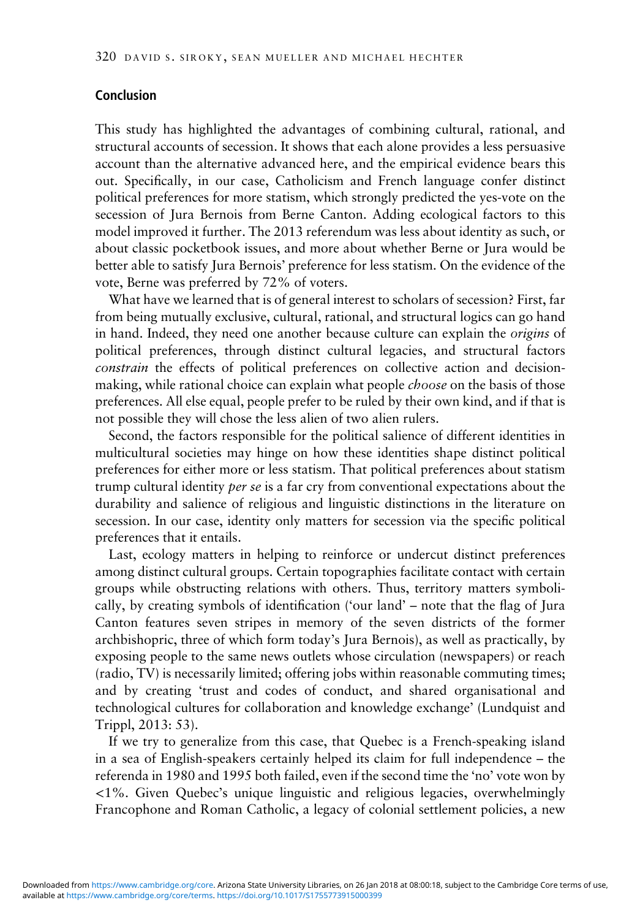# Conclusion

This study has highlighted the advantages of combining cultural, rational, and structural accounts of secession. It shows that each alone provides a less persuasive account than the alternative advanced here, and the empirical evidence bears this out. Specifically, in our case, Catholicism and French language confer distinct political preferences for more statism, which strongly predicted the yes-vote on the secession of Jura Bernois from Berne Canton. Adding ecological factors to this model improved it further. The 2013 referendum was less about identity as such, or about classic pocketbook issues, and more about whether Berne or Jura would be better able to satisfy Jura Bernois' preference for less statism. On the evidence of the vote, Berne was preferred by 72% of voters.

What have we learned that is of general interest to scholars of secession? First, far from being mutually exclusive, cultural, rational, and structural logics can go hand in hand. Indeed, they need one another because culture can explain the origins of political preferences, through distinct cultural legacies, and structural factors constrain the effects of political preferences on collective action and decisionmaking, while rational choice can explain what people *choose* on the basis of those preferences. All else equal, people prefer to be ruled by their own kind, and if that is not possible they will chose the less alien of two alien rulers.

Second, the factors responsible for the political salience of different identities in multicultural societies may hinge on how these identities shape distinct political preferences for either more or less statism. That political preferences about statism trump cultural identity per se is a far cry from conventional expectations about the durability and salience of religious and linguistic distinctions in the literature on secession. In our case, identity only matters for secession via the specific political preferences that it entails.

Last, ecology matters in helping to reinforce or undercut distinct preferences among distinct cultural groups. Certain topographies facilitate contact with certain groups while obstructing relations with others. Thus, territory matters symbolically, by creating symbols of identification ('our land' – note that the flag of Jura Canton features seven stripes in memory of the seven districts of the former archbishopric, three of which form today's Jura Bernois), as well as practically, by exposing people to the same news outlets whose circulation (newspapers) or reach (radio, TV) is necessarily limited; offering jobs within reasonable commuting times; and by creating 'trust and codes of conduct, and shared organisational and technological cultures for collaboration and knowledge exchange' (Lundquist and Trippl, [2013](#page-20-0): 53).

If we try to generalize from this case, that Quebec is a French-speaking island in a sea of English-speakers certainly helped its claim for full independence – the referenda in 1980 and 1995 both failed, even if the second time the 'no' vote won by <1%. Given Quebec's unique linguistic and religious legacies, overwhelmingly Francophone and Roman Catholic, a legacy of colonial settlement policies, a new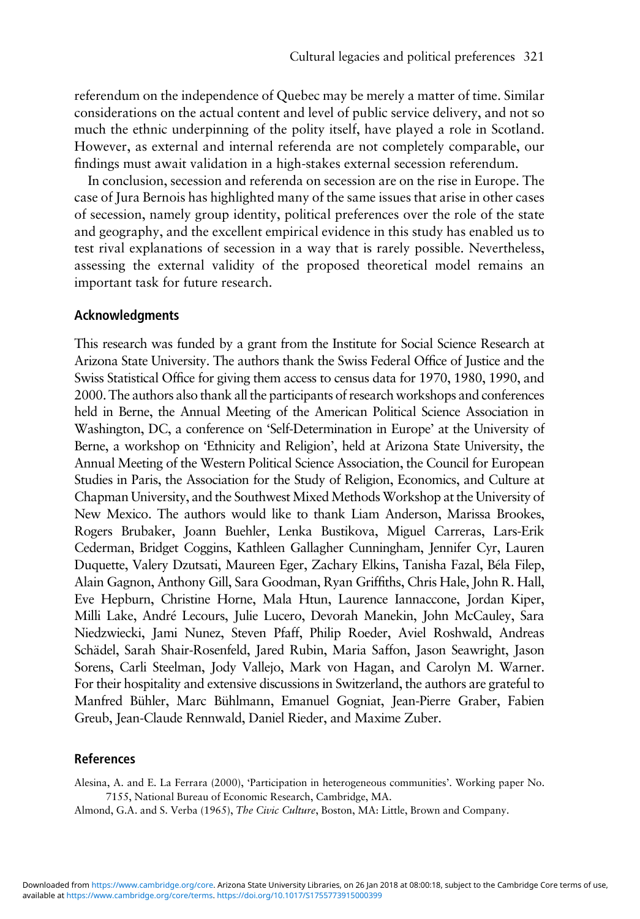<span id="page-18-0"></span>referendum on the independence of Quebec may be merely a matter of time. Similar considerations on the actual content and level of public service delivery, and not so much the ethnic underpinning of the polity itself, have played a role in Scotland. However, as external and internal referenda are not completely comparable, our findings must await validation in a high-stakes external secession referendum.

In conclusion, secession and referenda on secession are on the rise in Europe. The case of Jura Bernois has highlighted many of the same issues that arise in other cases of secession, namely group identity, political preferences over the role of the state and geography, and the excellent empirical evidence in this study has enabled us to test rival explanations of secession in a way that is rarely possible. Nevertheless, assessing the external validity of the proposed theoretical model remains an important task for future research.

#### Acknowledgments

This research was funded by a grant from the Institute for Social Science Research at Arizona State University. The authors thank the Swiss Federal Office of Justice and the Swiss Statistical Office for giving them access to census data for 1970, 1980, 1990, and 2000. The authors also thank all the participants of research workshops and conferences held in Berne, the Annual Meeting of the American Political Science Association in Washington, DC, a conference on 'Self-Determination in Europe' at the University of Berne, a workshop on 'Ethnicity and Religion', held at Arizona State University, the Annual Meeting of the Western Political Science Association, the Council for European Studies in Paris, the Association for the Study of Religion, Economics, and Culture at Chapman University, and the Southwest Mixed Methods Workshop at the University of New Mexico. The authors would like to thank Liam Anderson, Marissa Brookes, Rogers Brubaker, Joann Buehler, Lenka Bustikova, Miguel Carreras, Lars-Erik Cederman, Bridget Coggins, Kathleen Gallagher Cunningham, Jennifer Cyr, Lauren Duquette, Valery Dzutsati, Maureen Eger, Zachary Elkins, Tanisha Fazal, Béla Filep, Alain Gagnon, Anthony Gill, Sara Goodman, Ryan Griffiths, Chris Hale, John R. Hall, Eve Hepburn, Christine Horne, Mala Htun, Laurence Iannaccone, Jordan Kiper, Milli Lake, André Lecours, Julie Lucero, Devorah Manekin, John McCauley, Sara Niedzwiecki, Jami Nunez, Steven Pfaff, Philip Roeder, Aviel Roshwald, Andreas Schädel, Sarah Shair-Rosenfeld, Jared Rubin, Maria Saffon, Jason Seawright, Jason Sorens, Carli Steelman, Jody Vallejo, Mark von Hagan, and Carolyn M. Warner. For their hospitality and extensive discussions in Switzerland, the authors are grateful to Manfred Bühler, Marc Bühlmann, Emanuel Gogniat, Jean-Pierre Graber, Fabien Greub, Jean-Claude Rennwald, Daniel Rieder, and Maxime Zuber.

# References

Alesina, A. and E. La Ferrara (2000), 'Participation in heterogeneous communities'. Working paper No. 7155, National Bureau of Economic Research, Cambridge, MA.

Almond, G.A. and S. Verba (1965), The Civic Culture, Boston, MA: Little, Brown and Company.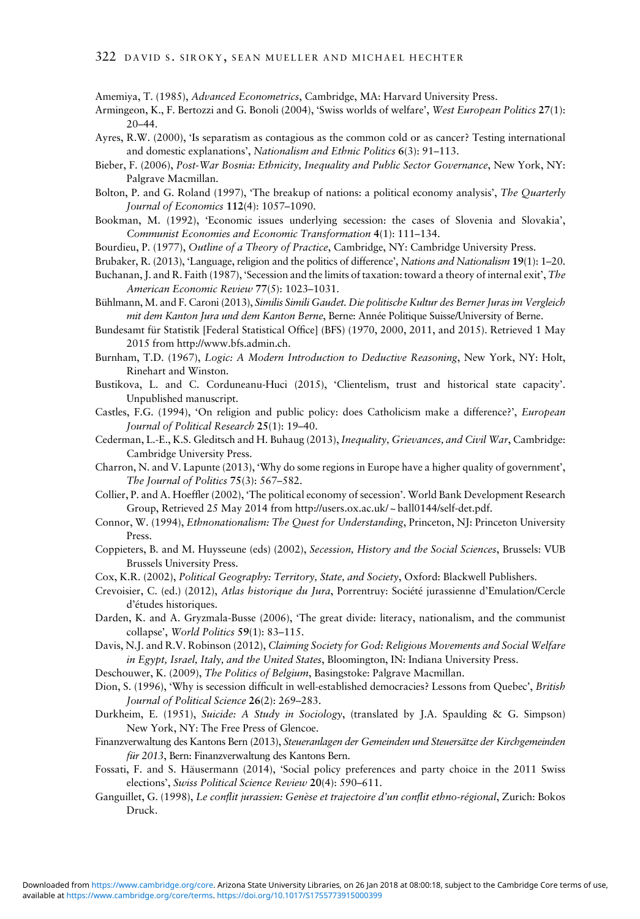<span id="page-19-0"></span>Amemiya, T. (1985), Advanced Econometrics, Cambridge, MA: Harvard University Press.

- Armingeon, K., F. Bertozzi and G. Bonoli (2004), 'Swiss worlds of welfare', West European Politics 27(1): 20–44.
- Ayres, R.W. (2000), 'Is separatism as contagious as the common cold or as cancer? Testing international and domestic explanations', Nationalism and Ethnic Politics 6(3): 91–113.
- Bieber, F. (2006), Post-War Bosnia: Ethnicity, Inequality and Public Sector Governance, New York, NY: Palgrave Macmillan.
- Bolton, P. and G. Roland (1997), 'The breakup of nations: a political economy analysis', The Quarterly Journal of Economics 112(4): 1057–1090.
- Bookman, M. (1992), 'Economic issues underlying secession: the cases of Slovenia and Slovakia', Communist Economies and Economic Transformation 4(1): 111–134.
- Bourdieu, P. (1977), Outline of a Theory of Practice, Cambridge, NY: Cambridge University Press.
- Brubaker, R. (2013), 'Language, religion and the politics of difference', Nations and Nationalism 19(1): 1–20.
- Buchanan, J. and R. Faith (1987), 'Secession and the limits of taxation: toward a theory of internal exit', The American Economic Review 77(5): 1023–1031.
- Bühlmann, M. and F. Caroni (2013), Similis Simili Gaudet. Die politische Kultur des Berner Juras im Vergleich mit dem Kanton Jura und dem Kanton Berne, Berne: Année Politique Suisse/University of Berne.
- Bundesamt für Statistik [Federal Statistical Office] (BFS) (1970, 2000, 2011, and 2015). Retrieved 1 May 2015 from<http://www.bfs.admin.ch>.
- Burnham, T.D. (1967), Logic: A Modern Introduction to Deductive Reasoning, New York, NY: Holt, Rinehart and Winston.
- Bustikova, L. and C. Corduneanu-Huci (2015), 'Clientelism, trust and historical state capacity'. Unpublished manuscript.
- Castles, F.G. (1994), 'On religion and public policy: does Catholicism make a difference?', European Journal of Political Research 25(1): 19–40.
- Cederman, L.-E., K.S. Gleditsch and H. Buhaug (2013), Inequality, Grievances, and Civil War, Cambridge: Cambridge University Press.
- Charron, N. and V. Lapunte (2013), 'Why do some regions in Europe have a higher quality of government', The Journal of Politics 75(3): 567–582.
- Collier, P. and A. Hoeffler (2002), 'The political economy of secession'. World Bank Development Research Group, Retrieved 25 May 2014 from [http://users.ox.ac.uk/ ~ ball0144/self-det.pdf](http://users.ox.ac.uk/�~�ball0144/self-det.pdf).
- Connor, W. (1994), Ethnonationalism: The Quest for Understanding, Princeton, NJ: Princeton University Press.
- Coppieters, B. and M. Huysseune (eds) (2002), Secession, History and the Social Sciences, Brussels: VUB Brussels University Press.
- Cox, K.R. (2002), Political Geography: Territory, State, and Society, Oxford: Blackwell Publishers.
- Crevoisier, C. (ed.) (2012), Atlas historique du Jura, Porrentruy: Société jurassienne d'Emulation/Cercle d'études historiques.
- Darden, K. and A. Gryzmala-Busse (2006), 'The great divide: literacy, nationalism, and the communist collapse', World Politics 59(1): 83–115.
- Davis, N.J. and R.V. Robinson (2012), Claiming Society for God: Religious Movements and Social Welfare in Egypt, Israel, Italy, and the United States, Bloomington, IN: Indiana University Press.
- Deschouwer, K. (2009), The Politics of Belgium, Basingstoke: Palgrave Macmillan.

Dion, S. (1996), 'Why is secession difficult in well-established democracies? Lessons from Quebec', British Journal of Political Science 26(2): 269–283.

- Durkheim, E. (1951), Suicide: A Study in Sociology, (translated by J.A. Spaulding & G. Simpson) New York, NY: The Free Press of Glencoe.
- Finanzverwaltung des Kantons Bern (2013), Steueranlagen der Gemeinden und Steuersätze der Kirchgemeinden für 2013, Bern: Finanzverwaltung des Kantons Bern.
- Fossati, F. and S. Häusermann (2014), 'Social policy preferences and party choice in the 2011 Swiss elections', Swiss Political Science Review 20(4): 590–611.
- Ganguillet, G. (1998), Le conflit jurassien: Genèse et trajectoire d'un conflit ethno-régional, Zurich: Bokos Druck.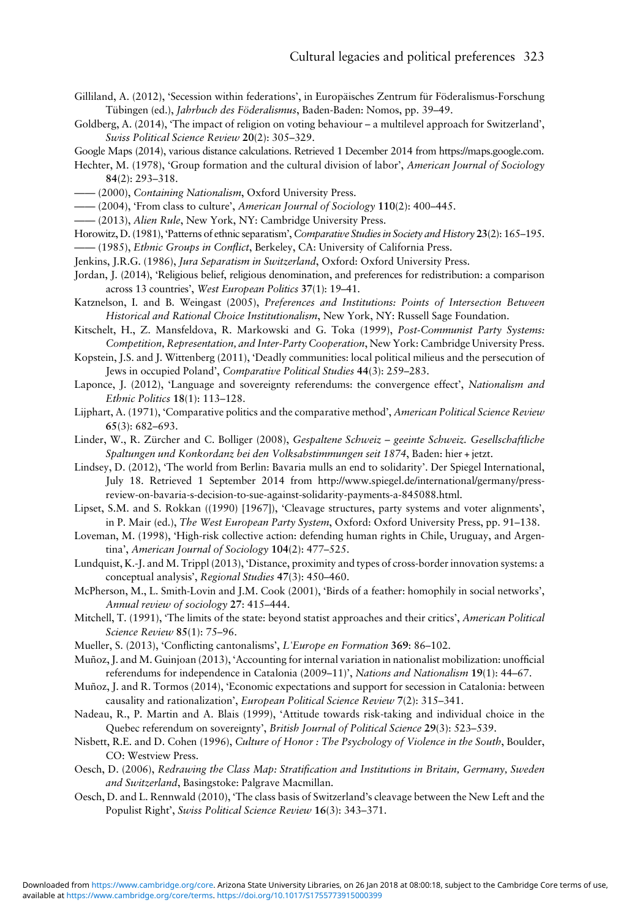- <span id="page-20-0"></span>Gilliland, A. (2012), 'Secession within federations', in Europäisches Zentrum für Föderalismus-Forschung Tübingen (ed.), Jahrbuch des Föderalismus, Baden-Baden: Nomos, pp. 39–49.
- Goldberg, A. (2014), 'The impact of religion on voting behaviour a multilevel approach for Switzerland', Swiss Political Science Review 20(2): 305–329.
- Google Maps (2014), various distance calculations. Retrieved 1 December 2014 from<https://maps.google.com>.
- Hechter, M. (1978), 'Group formation and the cultural division of labor', American Journal of Sociology 84(2): 293–318.
- —— (2000), Containing Nationalism, Oxford University Press.
- -(2004), 'From class to culture', American Journal of Sociology 110(2): 400-445.
- —— (2013), Alien Rule, New York, NY: Cambridge University Press.
- Horowitz, D. (1981), 'Patterns of ethnic separatism', Comparative Studies in Society and History 23(2): 165–195.
- —— (1985), Ethnic Groups in Conflict, Berkeley, CA: University of California Press.
- Jenkins, J.R.G. (1986), Jura Separatism in Switzerland, Oxford: Oxford University Press.
- Jordan, J. (2014), 'Religious belief, religious denomination, and preferences for redistribution: a comparison across 13 countries', West European Politics 37(1): 19–41.
- Katznelson, I. and B. Weingast (2005), Preferences and Institutions: Points of Intersection Between Historical and Rational Choice Institutionalism, New York, NY: Russell Sage Foundation.

Kitschelt, H., Z. Mansfeldova, R. Markowski and G. Toka (1999), Post-Communist Party Systems: Competition, Representation, and Inter-Party Cooperation, New York: Cambridge University Press.

- Kopstein, J.S. and J. Wittenberg (2011), 'Deadly communities: local political milieus and the persecution of Jews in occupied Poland', Comparative Political Studies 44(3): 259–283.
- Laponce, J. (2012), 'Language and sovereignty referendums: the convergence effect', Nationalism and Ethnic Politics 18(1): 113–128.
- Lijphart, A. (1971), 'Comparative politics and the comparative method', American Political Science Review 65(3): 682–693.
- Linder, W., R. Zürcher and C. Bolliger (2008), Gespaltene Schweiz geeinte Schweiz. Gesellschaftliche Spaltungen und Konkordanz bei den Volksabstimmungen seit 1874, Baden: hier + jetzt.
- Lindsey, D. (2012), 'The world from Berlin: Bavaria mulls an end to solidarity'. Der Spiegel International, July 18. Retrieved 1 September 2014 from [http://www.spiegel.de/international/germany/press](http://www.spiegel.de/international/germany/press-review-on-bavaria-s-decision-to-sue-against-solidarity-payments-a-845088.html)[review-on-bavaria-s-decision-to-sue-against-solidarity-payments-a-845088.html](http://www.spiegel.de/international/germany/press-review-on-bavaria-s-decision-to-sue-against-solidarity-payments-a-845088.html).
- Lipset, S.M. and S. Rokkan ((1990) [1967]), 'Cleavage structures, party systems and voter alignments', in P. Mair (ed.), The West European Party System, Oxford: Oxford University Press, pp. 91–138.
- Loveman, M. (1998), 'High-risk collective action: defending human rights in Chile, Uruguay, and Argentina', American Journal of Sociology 104(2): 477–525.
- Lundquist, K.-J. and M. Trippl (2013), 'Distance, proximity and types of cross-border innovation systems: a conceptual analysis', Regional Studies 47(3): 450–460.
- McPherson, M., L. Smith-Lovin and J.M. Cook (2001), 'Birds of a feather: homophily in social networks', Annual review of sociology 27: 415–444.
- Mitchell, T. (1991), 'The limits of the state: beyond statist approaches and their critics', American Political Science Review 85(1): 75–96.
- Mueller, S. (2013), 'Conflicting cantonalisms', L'Europe en Formation 369: 86–102.
- Muñoz, J. and M. Guinjoan (2013), 'Accounting for internal variation in nationalist mobilization: unofficial referendums for independence in Catalonia (2009–11)', Nations and Nationalism 19(1): 44–67.
- Muñoz, J. and R. Tormos (2014), 'Economic expectations and support for secession in Catalonia: between causality and rationalization', European Political Science Review 7(2): 315–341.
- Nadeau, R., P. Martin and A. Blais (1999), 'Attitude towards risk-taking and individual choice in the Quebec referendum on sovereignty', British Journal of Political Science 29(3): 523–539.
- Nisbett, R.E. and D. Cohen (1996), Culture of Honor : The Psychology of Violence in the South, Boulder, CO: Westview Press.
- Oesch, D. (2006), Redrawing the Class Map: Stratification and Institutions in Britain, Germany, Sweden and Switzerland, Basingstoke: Palgrave Macmillan.
- Oesch, D. and L. Rennwald (2010), 'The class basis of Switzerland's cleavage between the New Left and the Populist Right', Swiss Political Science Review 16(3): 343–371.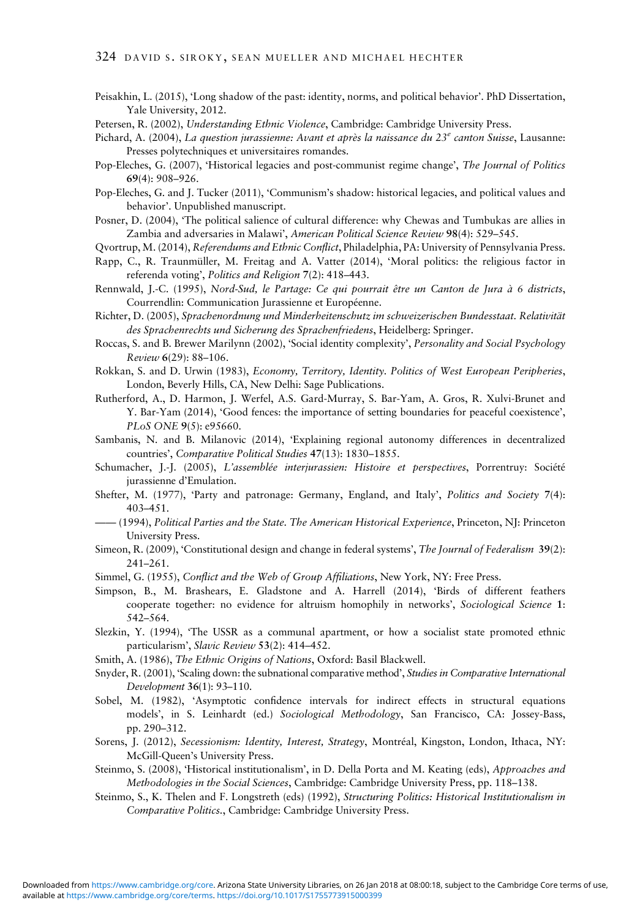- <span id="page-21-0"></span>Peisakhin, L. (2015), 'Long shadow of the past: identity, norms, and political behavior'. PhD Dissertation, Yale University, 2012.
- Petersen, R. (2002), Understanding Ethnic Violence, Cambridge: Cambridge University Press.
- Pichard, A. (2004), La question jurassienne: Avant et après la naissance du 23<sup>e</sup> canton Suisse, Lausanne: Presses polytechniques et universitaires romandes.
- Pop-Eleches, G. (2007), 'Historical legacies and post-communist regime change', The Journal of Politics 69(4): 908–926.
- Pop-Eleches, G. and J. Tucker (2011), 'Communism's shadow: historical legacies, and political values and behavior'. Unpublished manuscript.
- Posner, D. (2004), 'The political salience of cultural difference: why Chewas and Tumbukas are allies in Zambia and adversaries in Malawi', American Political Science Review 98(4): 529–545.
- Qvortrup, M. (2014), Referendums and Ethnic Conflict, Philadelphia, PA: University of Pennsylvania Press.
- Rapp, C., R. Traunmüller, M. Freitag and A. Vatter (2014), 'Moral politics: the religious factor in referenda voting', Politics and Religion 7(2): 418–443.
- Rennwald, J.-C. (1995), Nord-Sud, le Partage: Ce qui pourrait être un Canton de Jura à 6 districts, Courrendlin: Communication Jurassienne et Européenne.
- Richter, D. (2005), Sprachenordnung und Minderheitenschutz im schweizerischen Bundesstaat. Relativität des Sprachenrechts und Sicherung des Sprachenfriedens, Heidelberg: Springer.
- Roccas, S. and B. Brewer Marilynn (2002), 'Social identity complexity', Personality and Social Psychology Review 6(29): 88–106.
- Rokkan, S. and D. Urwin (1983), Economy, Territory, Identity. Politics of West European Peripheries, London, Beverly Hills, CA, New Delhi: Sage Publications.
- Rutherford, A., D. Harmon, J. Werfel, A.S. Gard-Murray, S. Bar-Yam, A. Gros, R. Xulvi-Brunet and Y. Bar-Yam (2014), 'Good fences: the importance of setting boundaries for peaceful coexistence', PLoS ONE 9(5): e95660.
- Sambanis, N. and B. Milanovic (2014), 'Explaining regional autonomy differences in decentralized countries', Comparative Political Studies 47(13): 1830–1855.
- Schumacher, J.-J. (2005), L'assemblée interjurassien: Histoire et perspectives, Porrentruy: Société jurassienne d'Emulation.
- Shefter, M. (1977), 'Party and patronage: Germany, England, and Italy', Politics and Society 7(4): 403–451.
- —— (1994), Political Parties and the State. The American Historical Experience, Princeton, NJ: Princeton University Press.
- Simeon, R. (2009), 'Constitutional design and change in federal systems', The Journal of Federalism 39(2): 241–261.
- Simmel, G. (1955), Conflict and the Web of Group Affiliations, New York, NY: Free Press.
- Simpson, B., M. Brashears, E. Gladstone and A. Harrell (2014), 'Birds of different feathers cooperate together: no evidence for altruism homophily in networks', Sociological Science 1: 542–564.
- Slezkin, Y. (1994), 'The USSR as a communal apartment, or how a socialist state promoted ethnic particularism', Slavic Review 53(2): 414–452.
- Smith, A. (1986), The Ethnic Origins of Nations, Oxford: Basil Blackwell.
- Snyder, R. (2001), 'Scaling down: the subnational comparative method', Studies in Comparative International Development 36(1): 93–110.
- Sobel, M. (1982), 'Asymptotic confidence intervals for indirect effects in structural equations models', in S. Leinhardt (ed.) Sociological Methodology, San Francisco, CA: Jossey-Bass, pp. 290–312.
- Sorens, J. (2012), Secessionism: Identity, Interest, Strategy, Montréal, Kingston, London, Ithaca, NY: McGill-Queen's University Press.
- Steinmo, S. (2008), 'Historical institutionalism', in D. Della Porta and M. Keating (eds), Approaches and Methodologies in the Social Sciences, Cambridge: Cambridge University Press, pp. 118–138.
- Steinmo, S., K. Thelen and F. Longstreth (eds) (1992), Structuring Politics: Historical Institutionalism in Comparative Politics., Cambridge: Cambridge University Press.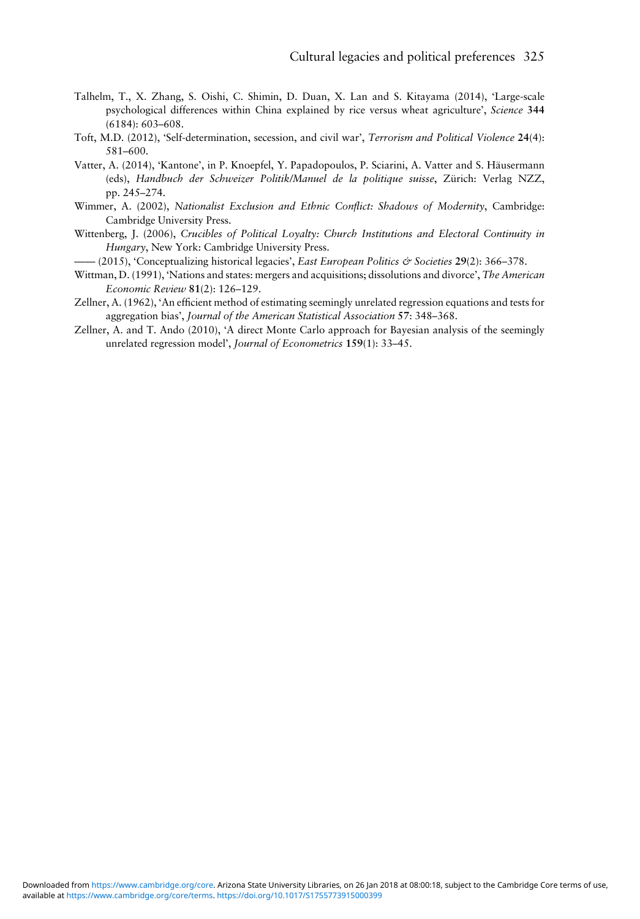- <span id="page-22-0"></span>Talhelm, T., X. Zhang, S. Oishi, C. Shimin, D. Duan, X. Lan and S. Kitayama (2014), 'Large-scale psychological differences within China explained by rice versus wheat agriculture', Science 344 (6184): 603–608.
- Toft, M.D. (2012), 'Self-determination, secession, and civil war', Terrorism and Political Violence 24(4): 581–600.
- Vatter, A. (2014), 'Kantone', in P. Knoepfel, Y. Papadopoulos, P. Sciarini, A. Vatter and S. Häusermann (eds), Handbuch der Schweizer Politik/Manuel de la politique suisse, Zürich: Verlag NZZ, pp. 245–274.
- Wimmer, A. (2002), Nationalist Exclusion and Ethnic Conflict: Shadows of Modernity, Cambridge: Cambridge University Press.
- Wittenberg, J. (2006), Crucibles of Political Loyalty: Church Institutions and Electoral Continuity in Hungary, New York: Cambridge University Press.
- $-(2015)$ , 'Conceptualizing historical legacies', East European Politics & Societies 29(2): 366–378.
- Wittman, D. (1991), 'Nations and states: mergers and acquisitions; dissolutions and divorce', The American Economic Review 81(2): 126–129.
- Zellner, A. (1962), 'An efficient method of estimating seemingly unrelated regression equations and tests for aggregation bias', Journal of the American Statistical Association 57: 348–368.
- Zellner, A. and T. Ando (2010), 'A direct Monte Carlo approach for Bayesian analysis of the seemingly unrelated regression model', Journal of Econometrics 159(1): 33–45.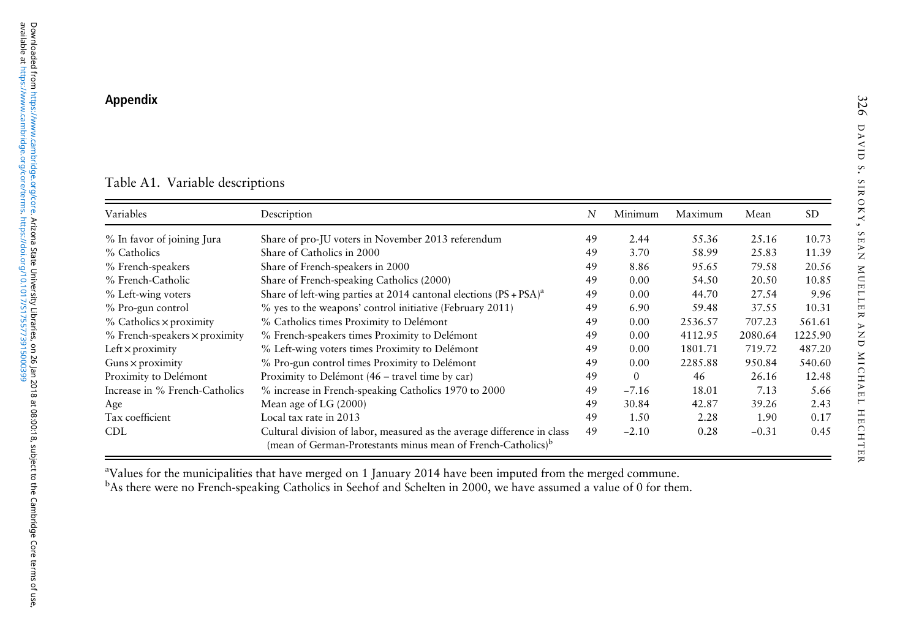# <span id="page-23-0"></span>Appendix

# Table A1. Variable descriptions

| Variables                              | Description                                                                                                                                         | N  | Minimum  | Maximum | Mean    | <b>SD</b> |
|----------------------------------------|-----------------------------------------------------------------------------------------------------------------------------------------------------|----|----------|---------|---------|-----------|
| % In favor of joining Jura             | Share of pro-JU voters in November 2013 referendum                                                                                                  | 49 | 2.44     | 55.36   | 25.16   | 10.73     |
| % Catholics                            | Share of Catholics in 2000                                                                                                                          | 49 | 3.70     | 58.99   | 25.83   | 11.39     |
| % French-speakers                      | Share of French-speakers in 2000                                                                                                                    | 49 | 8.86     | 95.65   | 79.58   | 20.56     |
| % French-Catholic                      | Share of French-speaking Catholics (2000)                                                                                                           | 49 | 0.00     | 54.50   | 20.50   | 10.85     |
| % Left-wing voters                     | Share of left-wing parties at 2014 cantonal elections $(PS + PSA)^{a}$                                                                              | 49 | 0.00     | 44.70   | 27.54   | 9.96      |
| % Pro-gun control                      | % yes to the weapons' control initiative (February 2011)                                                                                            |    | 6.90     | 59.48   | 37.55   | 10.31     |
| $%$ Catholics $\times$ proximity       | % Catholics times Proximity to Delémont                                                                                                             |    | 0.00     | 2536.57 | 707.23  | 561.61    |
| $%$ French-speakers $\times$ proximity | % French-speakers times Proximity to Delémont                                                                                                       | 49 | 0.00     | 4112.95 | 2080.64 | 1225.90   |
| Left $\times$ proximity                | % Left-wing voters times Proximity to Delémont                                                                                                      | 49 | 0.00     | 1801.71 | 719.72  | 487.20    |
| Guns $\times$ proximity                | % Pro-gun control times Proximity to Delémont                                                                                                       | 49 | 0.00     | 2285.88 | 950.84  | 540.60    |
| Proximity to Delémont                  | Proximity to Delémont (46 – travel time by car)                                                                                                     | 49 | $\Omega$ | 46      | 26.16   | 12.48     |
| Increase in % French-Catholics         | % increase in French-speaking Catholics 1970 to 2000                                                                                                | 49 | $-7.16$  | 18.01   | 7.13    | 5.66      |
| Age                                    | Mean age of LG (2000)                                                                                                                               | 49 | 30.84    | 42.87   | 39.26   | 2.43      |
| Tax coefficient                        | Local tax rate in 2013                                                                                                                              | 49 | 1.50     | 2.28    | 1.90    | 0.17      |
| <b>CDL</b>                             | Cultural division of labor, measured as the average difference in class<br>(mean of German-Protestants minus mean of French-Catholics) <sup>b</sup> | 49 | $-2.10$  | 0.28    | $-0.31$ | 0.45      |

aValues for the municipalities that have merged on 1 January 2014 have been imputed from the merged commune.

<sup>b</sup>As there were no French-speaking Catholics in Seehof and Schelten in 2000, we have assumed a value of 0 for them.